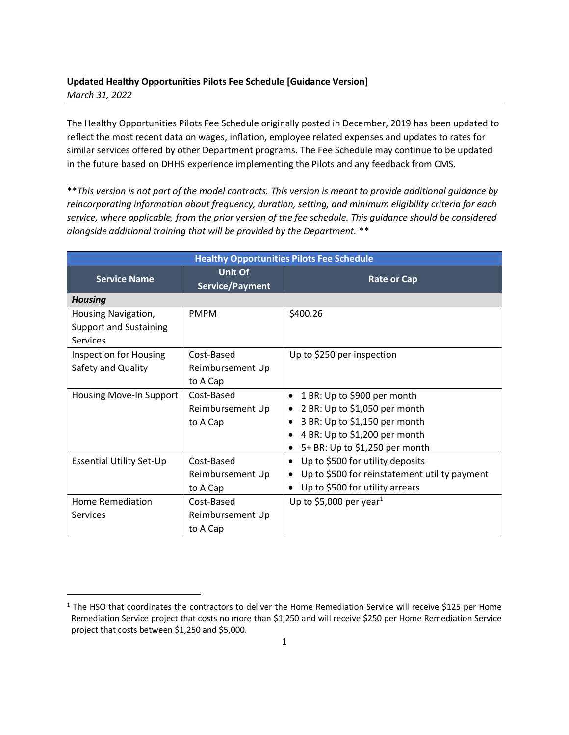### **Updated Healthy Opportunities Pilots Fee Schedule [Guidance Version]** *March 31, 2022*

The Healthy Opportunities Pilots Fee Schedule originally posted in December, 2019 has been updated to reflect the most recent data on wages, inflation, employee related expenses and updates to rates for similar services offered by other Department programs. The Fee Schedule may continue to be updated in the future based on DHHS experience implementing the Pilots and any feedback from CMS.

\*\**This version is not part of the model contracts. This version is meant to provide additional guidance by reincorporating information about frequency, duration, setting, and minimum eligibility criteria for each service, where applicable, from the prior version of the fee schedule. This guidance should be considered alongside additional training that will be provided by the Department.* \*\*

| <b>Healthy Opportunities Pilots Fee Schedule</b> |                            |                                                    |  |  |
|--------------------------------------------------|----------------------------|----------------------------------------------------|--|--|
| <b>Service Name</b>                              | Unit Of<br>Service/Payment | <b>Rate or Cap</b>                                 |  |  |
| <b>Housing</b>                                   |                            |                                                    |  |  |
| Housing Navigation,                              | <b>PMPM</b>                | \$400.26                                           |  |  |
| <b>Support and Sustaining</b>                    |                            |                                                    |  |  |
| Services                                         |                            |                                                    |  |  |
| <b>Inspection for Housing</b>                    | Cost-Based                 | Up to \$250 per inspection                         |  |  |
| Safety and Quality                               | Reimbursement Up           |                                                    |  |  |
|                                                  | to A Cap                   |                                                    |  |  |
| Housing Move-In Support                          | Cost-Based                 | 1 BR: Up to \$900 per month<br>$\bullet$           |  |  |
|                                                  | Reimbursement Up           | 2 BR: Up to \$1,050 per month                      |  |  |
|                                                  | to A Cap                   | 3 BR: Up to \$1,150 per month                      |  |  |
|                                                  |                            | 4 BR: Up to \$1,200 per month                      |  |  |
|                                                  |                            | 5+ BR: Up to \$1,250 per month                     |  |  |
| <b>Essential Utility Set-Up</b>                  | Cost-Based                 | Up to \$500 for utility deposits<br>$\bullet$      |  |  |
|                                                  | Reimbursement Up           | Up to \$500 for reinstatement utility payment<br>٠ |  |  |
|                                                  | to A Cap                   | Up to \$500 for utility arrears<br>$\bullet$       |  |  |
| Home Remediation                                 | Cost-Based                 | Up to \$5,000 per year <sup>1</sup>                |  |  |
| Services                                         | Reimbursement Up           |                                                    |  |  |
|                                                  | to A Cap                   |                                                    |  |  |

 $1$  The HSO that coordinates the contractors to deliver the Home Remediation Service will receive \$125 per Home Remediation Service project that costs no more than \$1,250 and will receive \$250 per Home Remediation Service project that costs between \$1,250 and \$5,000.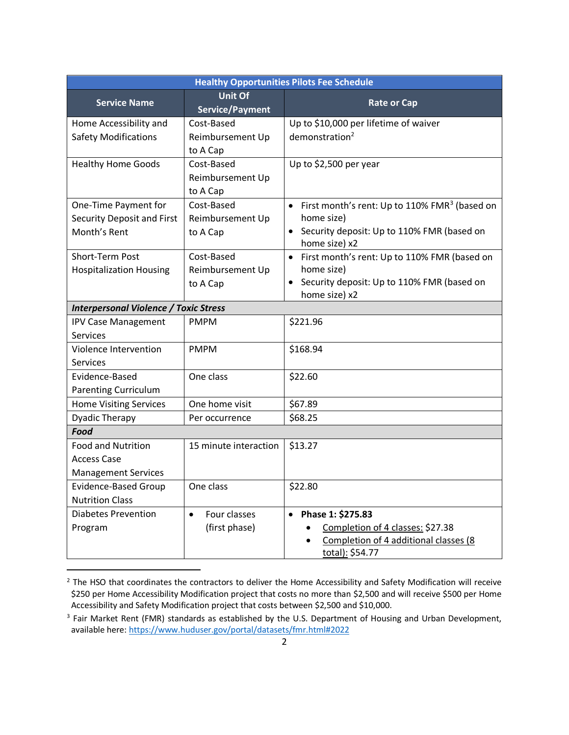| <b>Healthy Opportunities Pilots Fee Schedule</b>        |                                          |                                                                          |  |
|---------------------------------------------------------|------------------------------------------|--------------------------------------------------------------------------|--|
| <b>Service Name</b>                                     | <b>Unit Of</b><br><b>Service/Payment</b> | <b>Rate or Cap</b>                                                       |  |
| Home Accessibility and                                  | Cost-Based                               | Up to \$10,000 per lifetime of waiver                                    |  |
| <b>Safety Modifications</b>                             | Reimbursement Up                         | demonstration <sup>2</sup>                                               |  |
|                                                         | to A Cap                                 |                                                                          |  |
| <b>Healthy Home Goods</b>                               | Cost-Based                               | Up to \$2,500 per year                                                   |  |
|                                                         | Reimbursement Up                         |                                                                          |  |
|                                                         | to A Cap                                 |                                                                          |  |
| One-Time Payment for                                    | Cost-Based                               | First month's rent: Up to 110% FMR <sup>3</sup> (based on<br>$\bullet$   |  |
| Security Deposit and First                              | Reimbursement Up                         | home size)                                                               |  |
| Month's Rent                                            | to A Cap                                 | Security deposit: Up to 110% FMR (based on<br>$\bullet$<br>home size) x2 |  |
| Short-Term Post                                         | Cost-Based                               | First month's rent: Up to 110% FMR (based on<br>$\bullet$                |  |
| <b>Hospitalization Housing</b>                          | Reimbursement Up                         | home size)                                                               |  |
|                                                         | to A Cap                                 | Security deposit: Up to 110% FMR (based on<br>$\bullet$                  |  |
|                                                         |                                          | home size) x2                                                            |  |
| <b>Interpersonal Violence / Toxic Stress</b>            |                                          |                                                                          |  |
| <b>IPV Case Management</b>                              | <b>PMPM</b>                              | \$221.96                                                                 |  |
| Services                                                |                                          |                                                                          |  |
| Violence Intervention<br><b>PMPM</b>                    |                                          | \$168.94                                                                 |  |
| <b>Services</b>                                         |                                          |                                                                          |  |
| Evidence-Based<br>One class                             |                                          | \$22.60                                                                  |  |
| <b>Parenting Curriculum</b>                             |                                          |                                                                          |  |
| <b>Home Visiting Services</b>                           | One home visit                           | \$67.89                                                                  |  |
| <b>Dyadic Therapy</b>                                   | Per occurrence                           | \$68.25                                                                  |  |
| <b>Food</b>                                             |                                          |                                                                          |  |
| <b>Food and Nutrition</b>                               | 15 minute interaction                    | \$13.27                                                                  |  |
| <b>Access Case</b>                                      |                                          |                                                                          |  |
| <b>Management Services</b>                              |                                          |                                                                          |  |
| One class<br><b>Evidence-Based Group</b>                |                                          | \$22.80                                                                  |  |
| <b>Nutrition Class</b>                                  |                                          |                                                                          |  |
| <b>Diabetes Prevention</b><br>Four classes<br>$\bullet$ |                                          | Phase 1: \$275.83<br>$\bullet$                                           |  |
| Program                                                 | (first phase)                            | Completion of 4 classes: \$27.38                                         |  |
|                                                         |                                          | Completion of 4 additional classes (8                                    |  |
|                                                         |                                          | total): \$54.77                                                          |  |

<sup>&</sup>lt;sup>2</sup> The HSO that coordinates the contractors to deliver the Home Accessibility and Safety Modification will receive \$250 per Home Accessibility Modification project that costs no more than \$2,500 and will receive \$500 per Home Accessibility and Safety Modification project that costs between \$2,500 and \$10,000.

<sup>&</sup>lt;sup>3</sup> Fair Market Rent (FMR) standards as established by the U.S. Department of Housing and Urban Development, available here[: https://www.huduser.gov/portal/datasets/fmr.html#2022](https://www.huduser.gov/portal/datasets/fmr.html#2022)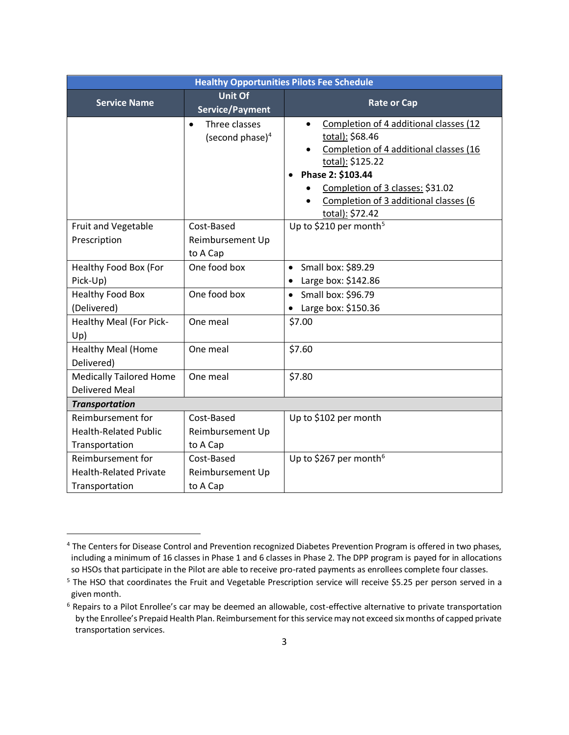| <b>Healthy Opportunities Pilots Fee Schedule</b>                     |                                                  |                                                                                                                                                                                                                                                           |  |
|----------------------------------------------------------------------|--------------------------------------------------|-----------------------------------------------------------------------------------------------------------------------------------------------------------------------------------------------------------------------------------------------------------|--|
| <b>Service Name</b>                                                  | <b>Unit Of</b><br><b>Service/Payment</b>         | <b>Rate or Cap</b>                                                                                                                                                                                                                                        |  |
|                                                                      | Three classes<br>$\bullet$<br>(second phase) $4$ | Completion of 4 additional classes (12<br>$\bullet$<br>total): \$68.46<br>Completion of 4 additional classes (16<br>total): \$125.22<br>Phase 2: \$103.44<br>Completion of 3 classes: \$31.02<br>Completion of 3 additional classes (6<br>total): \$72.42 |  |
| Fruit and Vegetable<br>Prescription                                  | Cost-Based<br>Reimbursement Up<br>to A Cap       | Up to \$210 per month <sup>5</sup>                                                                                                                                                                                                                        |  |
| Healthy Food Box (For<br>Pick-Up)                                    | One food box                                     | $\bullet$ Small box: \$89.29<br>Large box: \$142.86                                                                                                                                                                                                       |  |
| <b>Healthy Food Box</b><br>(Delivered)                               | One food box                                     | Small box: \$96.79<br>$\bullet$<br>Large box: \$150.36                                                                                                                                                                                                    |  |
| Healthy Meal (For Pick-<br>Up)                                       | One meal                                         | \$7.00                                                                                                                                                                                                                                                    |  |
| <b>Healthy Meal (Home</b><br>Delivered)                              | One meal                                         | \$7.60                                                                                                                                                                                                                                                    |  |
| <b>Medically Tailored Home</b><br><b>Delivered Meal</b>              | One meal                                         | \$7.80                                                                                                                                                                                                                                                    |  |
| <b>Transportation</b>                                                |                                                  |                                                                                                                                                                                                                                                           |  |
| Reimbursement for<br><b>Health-Related Public</b><br>Transportation  | Cost-Based<br>Reimbursement Up<br>to A Cap       | Up to \$102 per month                                                                                                                                                                                                                                     |  |
| Reimbursement for<br><b>Health-Related Private</b><br>Transportation | Cost-Based<br>Reimbursement Up<br>to A Cap       | Up to \$267 per month <sup>6</sup>                                                                                                                                                                                                                        |  |

<sup>&</sup>lt;sup>4</sup> The Centers for Disease Control and Prevention recognized Diabetes Prevention Program is offered in two phases, including a minimum of 16 classes in Phase 1 and 6 classes in Phase 2. The DPP program is payed for in allocations so HSOs that participate in the Pilot are able to receive pro-rated payments as enrollees complete four classes.

<sup>&</sup>lt;sup>5</sup> The HSO that coordinates the Fruit and Vegetable Prescription service will receive \$5.25 per person served in a given month.

<sup>&</sup>lt;sup>6</sup> Repairs to a Pilot Enrollee's car may be deemed an allowable, cost-effective alternative to private transportation by the Enrollee's Prepaid Health Plan. Reimbursement for this service may not exceed six months of capped private transportation services.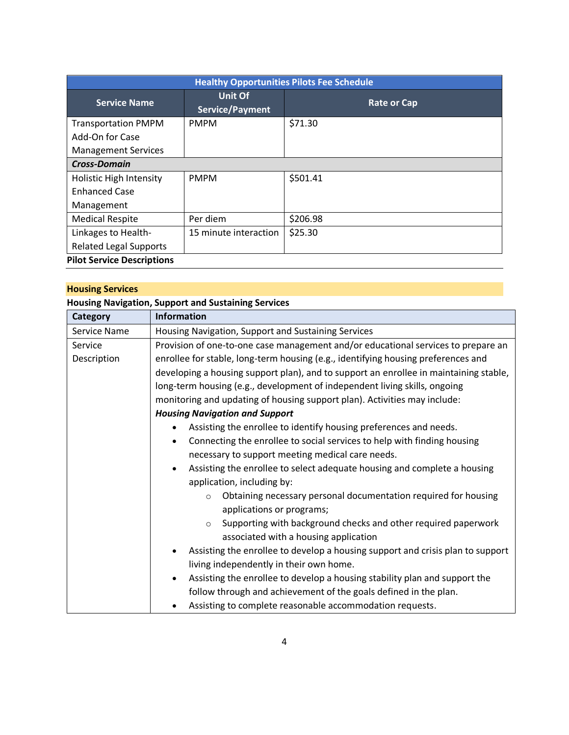| <b>Healthy Opportunities Pilots Fee Schedule</b> |                            |                    |  |
|--------------------------------------------------|----------------------------|--------------------|--|
| <b>Service Name</b>                              | Unit Of<br>Service/Payment | <b>Rate or Cap</b> |  |
| <b>Transportation PMPM</b>                       | <b>PMPM</b>                | \$71.30            |  |
| Add-On for Case                                  |                            |                    |  |
| <b>Management Services</b>                       |                            |                    |  |
| <b>Cross-Domain</b>                              |                            |                    |  |
| <b>Holistic High Intensity</b>                   | <b>PMPM</b>                | \$501.41           |  |
| <b>Enhanced Case</b>                             |                            |                    |  |
| Management                                       |                            |                    |  |
| <b>Medical Respite</b>                           | Per diem                   | \$206.98           |  |
| Linkages to Health-                              | 15 minute interaction      | \$25.30            |  |
| <b>Related Legal Supports</b>                    |                            |                    |  |
| <b>Pilot Service Descriptions</b>                |                            |                    |  |

| <b>Housing Services</b> |  |
|-------------------------|--|
|-------------------------|--|

| <b>Housing Navigation, Support and Sustaining Services</b> |                                                                                         |  |  |
|------------------------------------------------------------|-----------------------------------------------------------------------------------------|--|--|
| Category                                                   | <b>Information</b>                                                                      |  |  |
| Service Name                                               | Housing Navigation, Support and Sustaining Services                                     |  |  |
| Service                                                    | Provision of one-to-one case management and/or educational services to prepare an       |  |  |
| Description                                                | enrollee for stable, long-term housing (e.g., identifying housing preferences and       |  |  |
|                                                            | developing a housing support plan), and to support an enrollee in maintaining stable,   |  |  |
|                                                            | long-term housing (e.g., development of independent living skills, ongoing              |  |  |
|                                                            | monitoring and updating of housing support plan). Activities may include:               |  |  |
|                                                            | <b>Housing Navigation and Support</b>                                                   |  |  |
|                                                            | Assisting the enrollee to identify housing preferences and needs.                       |  |  |
|                                                            | Connecting the enrollee to social services to help with finding housing<br>$\bullet$    |  |  |
|                                                            | necessary to support meeting medical care needs.                                        |  |  |
|                                                            | Assisting the enrollee to select adequate housing and complete a housing<br>$\bullet$   |  |  |
|                                                            | application, including by:                                                              |  |  |
|                                                            | Obtaining necessary personal documentation required for housing<br>$\circ$              |  |  |
|                                                            | applications or programs;                                                               |  |  |
|                                                            | Supporting with background checks and other required paperwork<br>$\circ$               |  |  |
|                                                            | associated with a housing application                                                   |  |  |
|                                                            | Assisting the enrollee to develop a housing support and crisis plan to support          |  |  |
|                                                            | living independently in their own home.                                                 |  |  |
|                                                            | Assisting the enrollee to develop a housing stability plan and support the<br>$\bullet$ |  |  |
|                                                            | follow through and achievement of the goals defined in the plan.                        |  |  |
|                                                            | Assisting to complete reasonable accommodation requests.                                |  |  |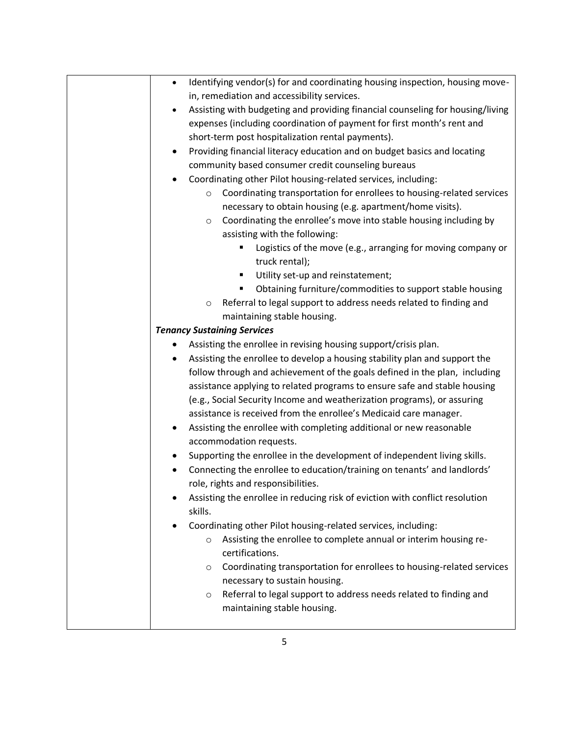| Identifying vendor(s) for and coordinating housing inspection, housing move-<br>$\bullet$ |
|-------------------------------------------------------------------------------------------|
| in, remediation and accessibility services.                                               |
| Assisting with budgeting and providing financial counseling for housing/living            |
| expenses (including coordination of payment for first month's rent and                    |
| short-term post hospitalization rental payments).                                         |
| Providing financial literacy education and on budget basics and locating<br>$\bullet$     |
| community based consumer credit counseling bureaus                                        |
| Coordinating other Pilot housing-related services, including:<br>٠                        |
| Coordinating transportation for enrollees to housing-related services<br>$\circ$          |
| necessary to obtain housing (e.g. apartment/home visits).                                 |
| Coordinating the enrollee's move into stable housing including by<br>$\circ$              |
| assisting with the following:                                                             |
| Logistics of the move (e.g., arranging for moving company or<br>п                         |
| truck rental);                                                                            |
| Utility set-up and reinstatement;                                                         |
| Obtaining furniture/commodities to support stable housing                                 |
| Referral to legal support to address needs related to finding and<br>$\circ$              |
| maintaining stable housing.                                                               |
| <b>Tenancy Sustaining Services</b>                                                        |
| Assisting the enrollee in revising housing support/crisis plan.                           |
| Assisting the enrollee to develop a housing stability plan and support the<br>$\bullet$   |
| follow through and achievement of the goals defined in the plan, including                |
| assistance applying to related programs to ensure safe and stable housing                 |
| (e.g., Social Security Income and weatherization programs), or assuring                   |
| assistance is received from the enrollee's Medicaid care manager.                         |
| Assisting the enrollee with completing additional or new reasonable                       |
| accommodation requests.                                                                   |
| Supporting the enrollee in the development of independent living skills.                  |
| Connecting the enrollee to education/training on tenants' and landlords'                  |
| role, rights and responsibilities.                                                        |
| Assisting the enrollee in reducing risk of eviction with conflict resolution              |
| skills.                                                                                   |
| Coordinating other Pilot housing-related services, including:                             |
| Assisting the enrollee to complete annual or interim housing re-<br>$\circ$               |
| certifications.                                                                           |
| Coordinating transportation for enrollees to housing-related services<br>$\circ$          |
| necessary to sustain housing.                                                             |
| Referral to legal support to address needs related to finding and<br>$\circ$              |
| maintaining stable housing.                                                               |
|                                                                                           |
|                                                                                           |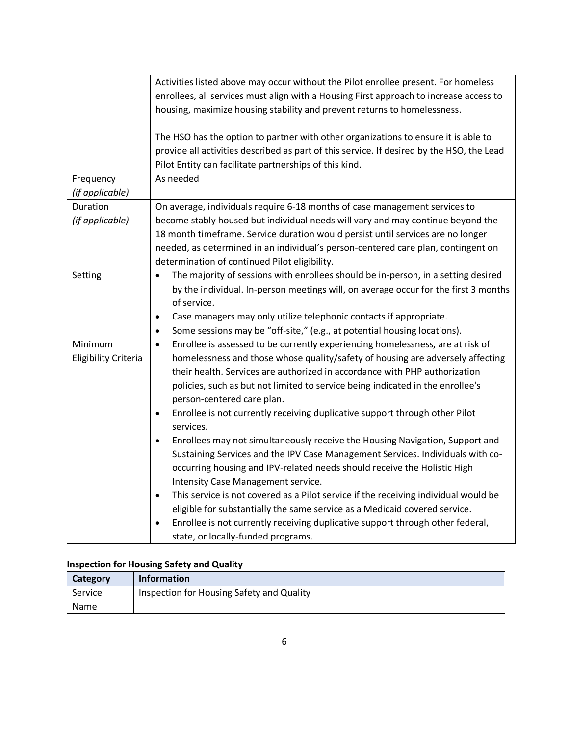|                                        | Activities listed above may occur without the Pilot enrollee present. For homeless<br>enrollees, all services must align with a Housing First approach to increase access to<br>housing, maximize housing stability and prevent returns to homelessness.                                                                                                                                                                                                                                                                                                                          |
|----------------------------------------|-----------------------------------------------------------------------------------------------------------------------------------------------------------------------------------------------------------------------------------------------------------------------------------------------------------------------------------------------------------------------------------------------------------------------------------------------------------------------------------------------------------------------------------------------------------------------------------|
|                                        | The HSO has the option to partner with other organizations to ensure it is able to<br>provide all activities described as part of this service. If desired by the HSO, the Lead<br>Pilot Entity can facilitate partnerships of this kind.                                                                                                                                                                                                                                                                                                                                         |
| Frequency<br>(if applicable)           | As needed                                                                                                                                                                                                                                                                                                                                                                                                                                                                                                                                                                         |
| Duration<br>(if applicable)            | On average, individuals require 6-18 months of case management services to<br>become stably housed but individual needs will vary and may continue beyond the<br>18 month timeframe. Service duration would persist until services are no longer<br>needed, as determined in an individual's person-centered care plan, contingent on<br>determination of continued Pilot eligibility.                                                                                                                                                                                            |
| Setting                                | The majority of sessions with enrollees should be in-person, in a setting desired<br>$\bullet$<br>by the individual. In-person meetings will, on average occur for the first 3 months<br>of service.<br>Case managers may only utilize telephonic contacts if appropriate.<br>$\bullet$<br>Some sessions may be "off-site," (e.g., at potential housing locations).<br>$\bullet$                                                                                                                                                                                                  |
| Minimum<br><b>Eligibility Criteria</b> | Enrollee is assessed to be currently experiencing homelessness, are at risk of<br>$\bullet$<br>homelessness and those whose quality/safety of housing are adversely affecting<br>their health. Services are authorized in accordance with PHP authorization<br>policies, such as but not limited to service being indicated in the enrollee's<br>person-centered care plan.<br>Enrollee is not currently receiving duplicative support through other Pilot<br>$\bullet$<br>services.<br>Enrollees may not simultaneously receive the Housing Navigation, Support and<br>$\bullet$ |
|                                        | Sustaining Services and the IPV Case Management Services. Individuals with co-<br>occurring housing and IPV-related needs should receive the Holistic High<br>Intensity Case Management service.<br>This service is not covered as a Pilot service if the receiving individual would be<br>$\bullet$<br>eligible for substantially the same service as a Medicaid covered service.<br>Enrollee is not currently receiving duplicative support through other federal,<br>$\bullet$<br>state, or locally-funded programs.                                                           |

# **Inspection for Housing Safety and Quality**

| Category | <b>Information</b>                        |
|----------|-------------------------------------------|
| Service  | Inspection for Housing Safety and Quality |
| Name     |                                           |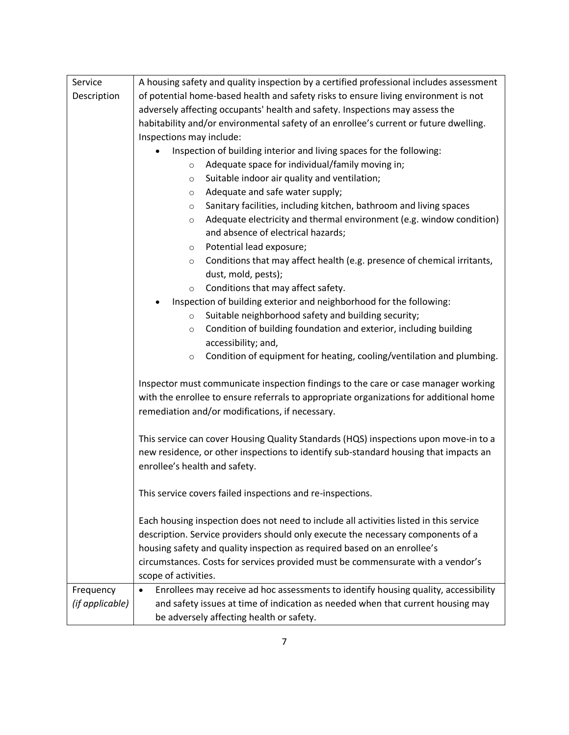| Service         | A housing safety and quality inspection by a certified professional includes assessment          |  |  |
|-----------------|--------------------------------------------------------------------------------------------------|--|--|
| Description     | of potential home-based health and safety risks to ensure living environment is not              |  |  |
|                 | adversely affecting occupants' health and safety. Inspections may assess the                     |  |  |
|                 | habitability and/or environmental safety of an enrollee's current or future dwelling.            |  |  |
|                 | Inspections may include:                                                                         |  |  |
|                 | Inspection of building interior and living spaces for the following:                             |  |  |
|                 | Adequate space for individual/family moving in;<br>$\circ$                                       |  |  |
|                 | Suitable indoor air quality and ventilation;<br>O                                                |  |  |
|                 | Adequate and safe water supply;<br>$\circ$                                                       |  |  |
|                 | Sanitary facilities, including kitchen, bathroom and living spaces<br>$\circ$                    |  |  |
|                 | Adequate electricity and thermal environment (e.g. window condition)<br>$\circ$                  |  |  |
|                 | and absence of electrical hazards;                                                               |  |  |
|                 | Potential lead exposure;<br>$\circ$                                                              |  |  |
|                 | Conditions that may affect health (e.g. presence of chemical irritants,<br>$\circ$               |  |  |
|                 | dust, mold, pests);                                                                              |  |  |
|                 | Conditions that may affect safety.<br>$\circ$                                                    |  |  |
|                 | Inspection of building exterior and neighborhood for the following:                              |  |  |
|                 | Suitable neighborhood safety and building security;<br>$\circ$                                   |  |  |
|                 | Condition of building foundation and exterior, including building<br>$\circ$                     |  |  |
|                 | accessibility; and,                                                                              |  |  |
|                 | Condition of equipment for heating, cooling/ventilation and plumbing.<br>$\circ$                 |  |  |
|                 |                                                                                                  |  |  |
|                 | Inspector must communicate inspection findings to the care or case manager working               |  |  |
|                 | with the enrollee to ensure referrals to appropriate organizations for additional home           |  |  |
|                 | remediation and/or modifications, if necessary.                                                  |  |  |
|                 |                                                                                                  |  |  |
|                 | This service can cover Housing Quality Standards (HQS) inspections upon move-in to a             |  |  |
|                 | new residence, or other inspections to identify sub-standard housing that impacts an             |  |  |
|                 | enrollee's health and safety.                                                                    |  |  |
|                 |                                                                                                  |  |  |
|                 | This service covers failed inspections and re-inspections.                                       |  |  |
|                 |                                                                                                  |  |  |
|                 | Each housing inspection does not need to include all activities listed in this service           |  |  |
|                 | description. Service providers should only execute the necessary components of a                 |  |  |
|                 | housing safety and quality inspection as required based on an enrollee's                         |  |  |
|                 | circumstances. Costs for services provided must be commensurate with a vendor's                  |  |  |
|                 | scope of activities.                                                                             |  |  |
| Frequency       | Enrollees may receive ad hoc assessments to identify housing quality, accessibility<br>$\bullet$ |  |  |
| (if applicable) | and safety issues at time of indication as needed when that current housing may                  |  |  |
|                 | be adversely affecting health or safety.                                                         |  |  |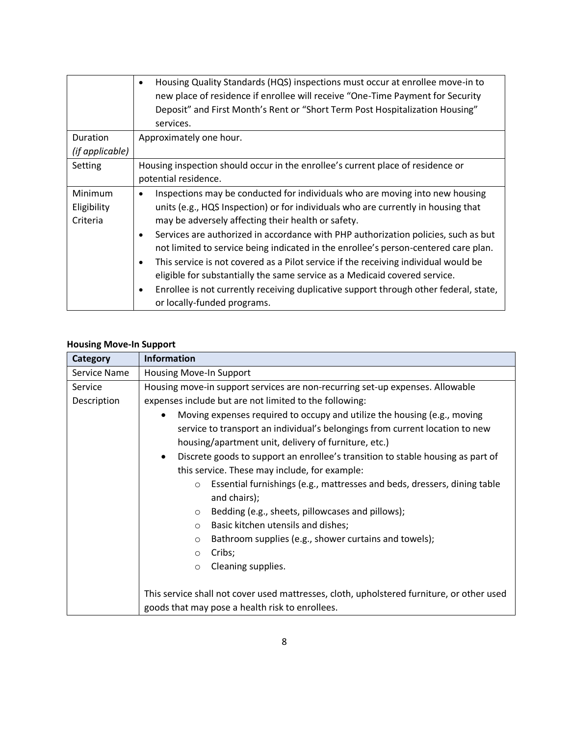|                                    | Housing Quality Standards (HQS) inspections must occur at enrollee move-in to<br>٠<br>new place of residence if enrollee will receive "One-Time Payment for Security<br>Deposit" and First Month's Rent or "Short Term Post Hospitalization Housing"<br>services.                                                                                                                                                                                                                                                                                                                                                                                                                                                                             |
|------------------------------------|-----------------------------------------------------------------------------------------------------------------------------------------------------------------------------------------------------------------------------------------------------------------------------------------------------------------------------------------------------------------------------------------------------------------------------------------------------------------------------------------------------------------------------------------------------------------------------------------------------------------------------------------------------------------------------------------------------------------------------------------------|
| Duration                           | Approximately one hour.                                                                                                                                                                                                                                                                                                                                                                                                                                                                                                                                                                                                                                                                                                                       |
| (if applicable)                    |                                                                                                                                                                                                                                                                                                                                                                                                                                                                                                                                                                                                                                                                                                                                               |
| Setting                            | Housing inspection should occur in the enrollee's current place of residence or<br>potential residence.                                                                                                                                                                                                                                                                                                                                                                                                                                                                                                                                                                                                                                       |
| Minimum<br>Eligibility<br>Criteria | Inspections may be conducted for individuals who are moving into new housing<br>٠<br>units (e.g., HQS Inspection) or for individuals who are currently in housing that<br>may be adversely affecting their health or safety.<br>Services are authorized in accordance with PHP authorization policies, such as but<br>$\bullet$<br>not limited to service being indicated in the enrollee's person-centered care plan.<br>This service is not covered as a Pilot service if the receiving individual would be<br>$\bullet$<br>eligible for substantially the same service as a Medicaid covered service.<br>Enrollee is not currently receiving duplicative support through other federal, state,<br>$\bullet$<br>or locally-funded programs. |

# **Housing Move-In Support**

| Category     | <b>Information</b>                                                                           |  |  |
|--------------|----------------------------------------------------------------------------------------------|--|--|
| Service Name | Housing Move-In Support                                                                      |  |  |
| Service      | Housing move-in support services are non-recurring set-up expenses. Allowable                |  |  |
| Description  | expenses include but are not limited to the following:                                       |  |  |
|              | Moving expenses required to occupy and utilize the housing (e.g., moving                     |  |  |
|              | service to transport an individual's belongings from current location to new                 |  |  |
|              | housing/apartment unit, delivery of furniture, etc.)                                         |  |  |
|              | Discrete goods to support an enrollee's transition to stable housing as part of<br>$\bullet$ |  |  |
|              | this service. These may include, for example:                                                |  |  |
|              | Essential furnishings (e.g., mattresses and beds, dressers, dining table<br>$\circ$          |  |  |
|              | and chairs);                                                                                 |  |  |
|              | Bedding (e.g., sheets, pillowcases and pillows);<br>$\circ$                                  |  |  |
|              | Basic kitchen utensils and dishes;<br>$\circ$                                                |  |  |
|              | Bathroom supplies (e.g., shower curtains and towels);<br>$\circ$                             |  |  |
|              | Cribs;<br>$\circ$                                                                            |  |  |
|              | Cleaning supplies.<br>$\circ$                                                                |  |  |
|              |                                                                                              |  |  |
|              | This service shall not cover used mattresses, cloth, upholstered furniture, or other used    |  |  |
|              | goods that may pose a health risk to enrollees.                                              |  |  |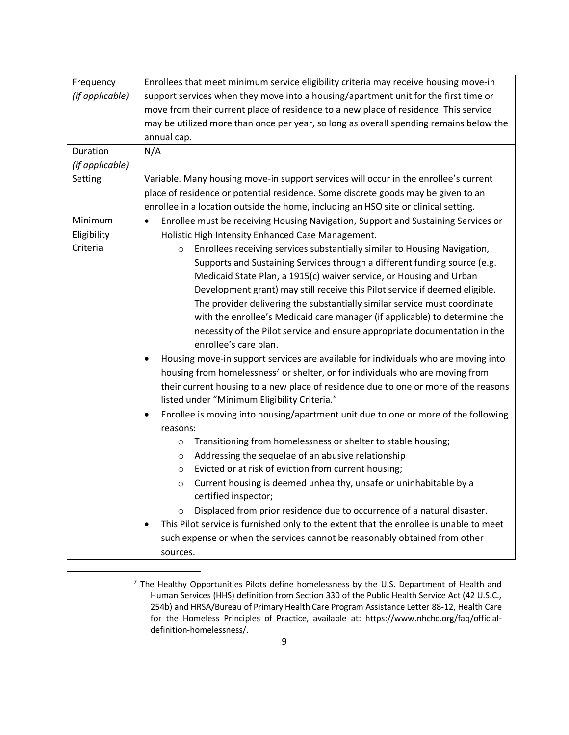| Frequency       | Enrollees that meet minimum service eligibility criteria may receive housing move-in           |  |  |
|-----------------|------------------------------------------------------------------------------------------------|--|--|
| (if applicable) | support services when they move into a housing/apartment unit for the first time or            |  |  |
|                 | move from their current place of residence to a new place of residence. This service           |  |  |
|                 | may be utilized more than once per year, so long as overall spending remains below the         |  |  |
|                 | annual cap.                                                                                    |  |  |
| Duration        | N/A                                                                                            |  |  |
| (if applicable) |                                                                                                |  |  |
| Setting         | Variable. Many housing move-in support services will occur in the enrollee's current           |  |  |
|                 | place of residence or potential residence. Some discrete goods may be given to an              |  |  |
|                 | enrollee in a location outside the home, including an HSO site or clinical setting.            |  |  |
| Minimum         | Enrollee must be receiving Housing Navigation, Support and Sustaining Services or<br>$\bullet$ |  |  |
| Eligibility     | Holistic High Intensity Enhanced Case Management.                                              |  |  |
| Criteria        | Enrollees receiving services substantially similar to Housing Navigation,<br>$\circ$           |  |  |
|                 | Supports and Sustaining Services through a different funding source (e.g.                      |  |  |
|                 | Medicaid State Plan, a 1915(c) waiver service, or Housing and Urban                            |  |  |
|                 | Development grant) may still receive this Pilot service if deemed eligible.                    |  |  |
|                 | The provider delivering the substantially similar service must coordinate                      |  |  |
|                 | with the enrollee's Medicaid care manager (if applicable) to determine the                     |  |  |
|                 | necessity of the Pilot service and ensure appropriate documentation in the                     |  |  |
|                 | enrollee's care plan.                                                                          |  |  |
|                 | Housing move-in support services are available for individuals who are moving into             |  |  |
|                 | housing from homelessness <sup>7</sup> or shelter, or for individuals who are moving from      |  |  |
|                 | their current housing to a new place of residence due to one or more of the reasons            |  |  |
|                 | listed under "Minimum Eligibility Criteria."                                                   |  |  |
|                 | Enrollee is moving into housing/apartment unit due to one or more of the following<br>٠        |  |  |
|                 | reasons:                                                                                       |  |  |
|                 | Transitioning from homelessness or shelter to stable housing;<br>$\circ$                       |  |  |
|                 | Addressing the sequelae of an abusive relationship<br>O                                        |  |  |
|                 | Evicted or at risk of eviction from current housing;<br>O                                      |  |  |
|                 | Current housing is deemed unhealthy, unsafe or uninhabitable by a<br>$\circ$                   |  |  |
|                 | certified inspector;                                                                           |  |  |
|                 | Displaced from prior residence due to occurrence of a natural disaster.<br>$\circ$             |  |  |
|                 | This Pilot service is furnished only to the extent that the enrollee is unable to meet         |  |  |
|                 | such expense or when the services cannot be reasonably obtained from other                     |  |  |
|                 | sources.                                                                                       |  |  |

 $<sup>7</sup>$  The Healthy Opportunities Pilots define homelessness by the U.S. Department of Health and</sup> Human Services (HHS) definition from Section 330 of the Public Health Service Act (42 U.S.C., 254b) and HRSA/Bureau of Primary Health Care Program Assistance Letter 88-12, Health Care for the Homeless Principles of Practice, available at: https://www.nhchc.org/faq/officialdefinition-homelessness/.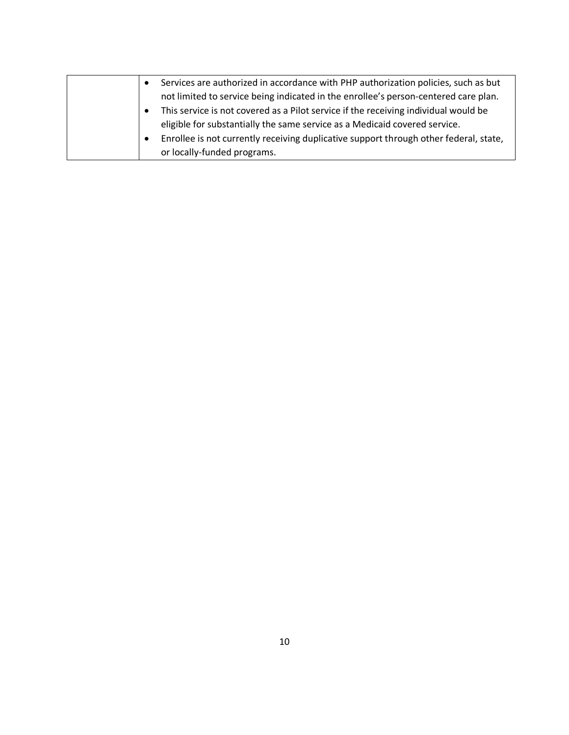| Services are authorized in accordance with PHP authorization policies, such as but    |
|---------------------------------------------------------------------------------------|
| not limited to service being indicated in the enrollee's person-centered care plan.   |
| This service is not covered as a Pilot service if the receiving individual would be   |
| eligible for substantially the same service as a Medicaid covered service.            |
| Enrollee is not currently receiving duplicative support through other federal, state, |
| or locally-funded programs.                                                           |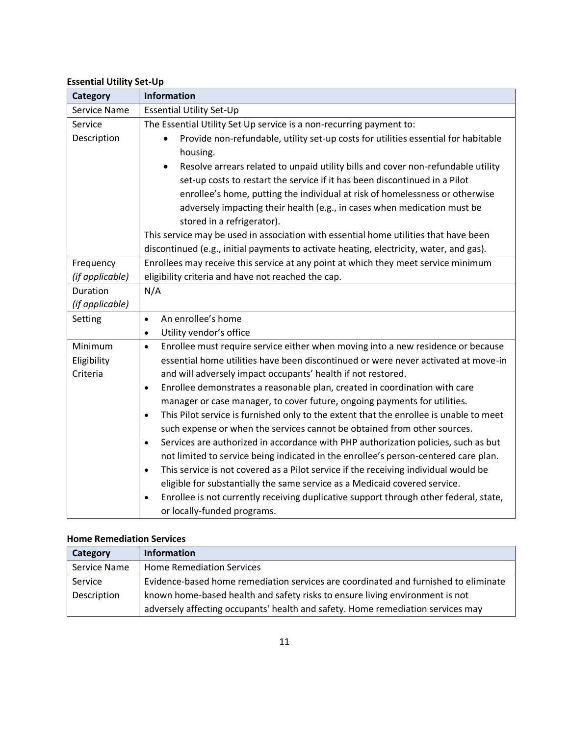#### **Essential Utility Set-Up**

| Category                    | <b>Information</b>                                                                                                                                                              |  |  |
|-----------------------------|---------------------------------------------------------------------------------------------------------------------------------------------------------------------------------|--|--|
| Service Name                | <b>Essential Utility Set-Up</b>                                                                                                                                                 |  |  |
| Service                     | The Essential Utility Set Up service is a non-recurring payment to:                                                                                                             |  |  |
| Description                 | Provide non-refundable, utility set-up costs for utilities essential for habitable<br>$\bullet$                                                                                 |  |  |
|                             | housing.                                                                                                                                                                        |  |  |
|                             | Resolve arrears related to unpaid utility bills and cover non-refundable utility<br>$\bullet$                                                                                   |  |  |
|                             | set-up costs to restart the service if it has been discontinued in a Pilot                                                                                                      |  |  |
|                             | enrollee's home, putting the individual at risk of homelessness or otherwise                                                                                                    |  |  |
|                             | adversely impacting their health (e.g., in cases when medication must be                                                                                                        |  |  |
|                             | stored in a refrigerator).                                                                                                                                                      |  |  |
|                             | This service may be used in association with essential home utilities that have been                                                                                            |  |  |
|                             | discontinued (e.g., initial payments to activate heating, electricity, water, and gas).                                                                                         |  |  |
| Frequency                   | Enrollees may receive this service at any point at which they meet service minimum                                                                                              |  |  |
| (if applicable)<br>Duration | eligibility criteria and have not reached the cap.                                                                                                                              |  |  |
|                             | N/A                                                                                                                                                                             |  |  |
| (if applicable)             |                                                                                                                                                                                 |  |  |
| Setting                     | An enrollee's home<br>$\bullet$<br>Utility vendor's office<br>$\bullet$                                                                                                         |  |  |
| Minimum                     | Enrollee must require service either when moving into a new residence or because<br>$\bullet$                                                                                   |  |  |
|                             | essential home utilities have been discontinued or were never activated at move-in                                                                                              |  |  |
| Eligibility<br>Criteria     | and will adversely impact occupants' health if not restored.                                                                                                                    |  |  |
|                             | Enrollee demonstrates a reasonable plan, created in coordination with care<br>$\bullet$                                                                                         |  |  |
|                             | manager or case manager, to cover future, ongoing payments for utilities.                                                                                                       |  |  |
|                             | This Pilot service is furnished only to the extent that the enrollee is unable to meet<br>$\bullet$<br>such expense or when the services cannot be obtained from other sources. |  |  |
|                             | Services are authorized in accordance with PHP authorization policies, such as but<br>$\bullet$                                                                                 |  |  |
|                             | not limited to service being indicated in the enrollee's person-centered care plan.                                                                                             |  |  |
|                             | This service is not covered as a Pilot service if the receiving individual would be<br>$\bullet$                                                                                |  |  |
|                             | eligible for substantially the same service as a Medicaid covered service.                                                                                                      |  |  |
|                             | Enrollee is not currently receiving duplicative support through other federal, state,<br>$\bullet$<br>or locally-funded programs.                                               |  |  |

#### **Home Remediation Services**

| Category     | <b>Information</b>                                                                  |
|--------------|-------------------------------------------------------------------------------------|
| Service Name | <b>Home Remediation Services</b>                                                    |
| Service      | Evidence-based home remediation services are coordinated and furnished to eliminate |
| Description  | known home-based health and safety risks to ensure living environment is not        |
|              | adversely affecting occupants' health and safety. Home remediation services may     |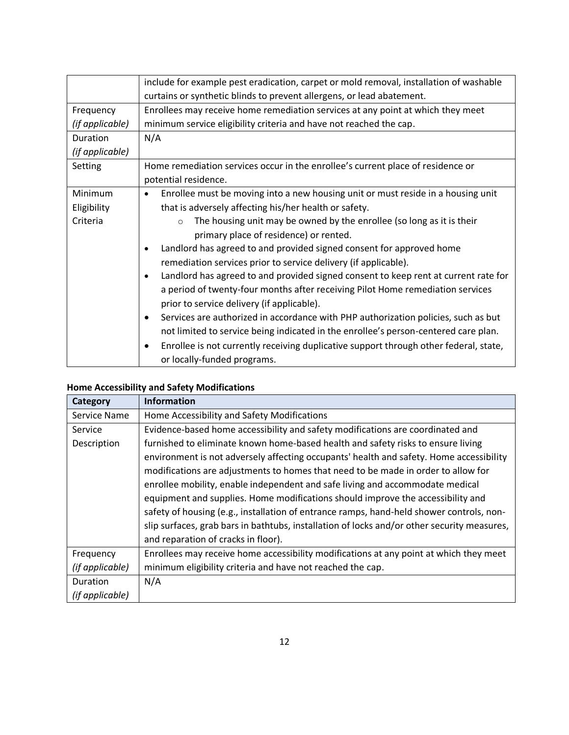|                 | include for example pest eradication, carpet or mold removal, installation of washable             |  |  |
|-----------------|----------------------------------------------------------------------------------------------------|--|--|
|                 | curtains or synthetic blinds to prevent allergens, or lead abatement.                              |  |  |
| Frequency       | Enrollees may receive home remediation services at any point at which they meet                    |  |  |
| (if applicable) | minimum service eligibility criteria and have not reached the cap.                                 |  |  |
| Duration        | N/A                                                                                                |  |  |
| (if applicable) |                                                                                                    |  |  |
| Setting         | Home remediation services occur in the enrollee's current place of residence or                    |  |  |
|                 | potential residence.                                                                               |  |  |
| Minimum         | Enrollee must be moving into a new housing unit or must reside in a housing unit                   |  |  |
| Eligibility     | that is adversely affecting his/her health or safety.                                              |  |  |
| Criteria        | The housing unit may be owned by the enrollee (so long as it is their<br>$\circ$                   |  |  |
|                 | primary place of residence) or rented.                                                             |  |  |
|                 | Landlord has agreed to and provided signed consent for approved home<br>$\bullet$                  |  |  |
|                 | remediation services prior to service delivery (if applicable).                                    |  |  |
|                 | Landlord has agreed to and provided signed consent to keep rent at current rate for<br>$\bullet$   |  |  |
|                 | a period of twenty-four months after receiving Pilot Home remediation services                     |  |  |
|                 | prior to service delivery (if applicable).                                                         |  |  |
|                 | Services are authorized in accordance with PHP authorization policies, such as but<br>$\bullet$    |  |  |
|                 | not limited to service being indicated in the enrollee's person-centered care plan.                |  |  |
|                 | Enrollee is not currently receiving duplicative support through other federal, state,<br>$\bullet$ |  |  |
|                 | or locally-funded programs.                                                                        |  |  |

# **Home Accessibility and Safety Modifications**

| <b>Category</b> | <b>Information</b>                                                                          |  |  |
|-----------------|---------------------------------------------------------------------------------------------|--|--|
| Service Name    | Home Accessibility and Safety Modifications                                                 |  |  |
| Service         | Evidence-based home accessibility and safety modifications are coordinated and              |  |  |
| Description     | furnished to eliminate known home-based health and safety risks to ensure living            |  |  |
|                 | environment is not adversely affecting occupants' health and safety. Home accessibility     |  |  |
|                 | modifications are adjustments to homes that need to be made in order to allow for           |  |  |
|                 | enrollee mobility, enable independent and safe living and accommodate medical               |  |  |
|                 | equipment and supplies. Home modifications should improve the accessibility and             |  |  |
|                 | safety of housing (e.g., installation of entrance ramps, hand-held shower controls, non-    |  |  |
|                 | slip surfaces, grab bars in bathtubs, installation of locks and/or other security measures, |  |  |
|                 | and reparation of cracks in floor).                                                         |  |  |
| Frequency       | Enrollees may receive home accessibility modifications at any point at which they meet      |  |  |
| (if applicable) | minimum eligibility criteria and have not reached the cap.                                  |  |  |
| Duration        | N/A                                                                                         |  |  |
| (if applicable) |                                                                                             |  |  |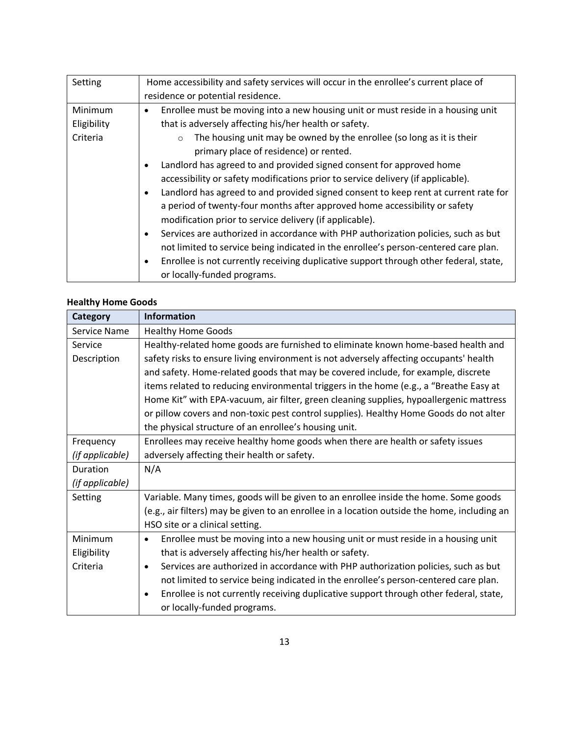| Setting     | Home accessibility and safety services will occur in the enrollee's current place of             |  |
|-------------|--------------------------------------------------------------------------------------------------|--|
|             | residence or potential residence.                                                                |  |
| Minimum     | Enrollee must be moving into a new housing unit or must reside in a housing unit<br>٠            |  |
| Eligibility | that is adversely affecting his/her health or safety.                                            |  |
| Criteria    | The housing unit may be owned by the enrollee (so long as it is their<br>$\circ$                 |  |
|             | primary place of residence) or rented.                                                           |  |
|             | Landlord has agreed to and provided signed consent for approved home                             |  |
|             | accessibility or safety modifications prior to service delivery (if applicable).                 |  |
|             | Landlord has agreed to and provided signed consent to keep rent at current rate for<br>$\bullet$ |  |
|             | a period of twenty-four months after approved home accessibility or safety                       |  |
|             | modification prior to service delivery (if applicable).                                          |  |
|             | Services are authorized in accordance with PHP authorization policies, such as but<br>$\bullet$  |  |
|             | not limited to service being indicated in the enrollee's person-centered care plan.              |  |
|             | Enrollee is not currently receiving duplicative support through other federal, state,            |  |
|             | or locally-funded programs.                                                                      |  |

### **Healthy Home Goods**

| Category        | <b>Information</b>                                                                                 |  |  |
|-----------------|----------------------------------------------------------------------------------------------------|--|--|
| Service Name    | <b>Healthy Home Goods</b>                                                                          |  |  |
| Service         | Healthy-related home goods are furnished to eliminate known home-based health and                  |  |  |
| Description     | safety risks to ensure living environment is not adversely affecting occupants' health             |  |  |
|                 | and safety. Home-related goods that may be covered include, for example, discrete                  |  |  |
|                 | items related to reducing environmental triggers in the home (e.g., a "Breathe Easy at             |  |  |
|                 | Home Kit" with EPA-vacuum, air filter, green cleaning supplies, hypoallergenic mattress            |  |  |
|                 | or pillow covers and non-toxic pest control supplies). Healthy Home Goods do not alter             |  |  |
|                 | the physical structure of an enrollee's housing unit.                                              |  |  |
| Frequency       | Enrollees may receive healthy home goods when there are health or safety issues                    |  |  |
| (if applicable) | adversely affecting their health or safety.                                                        |  |  |
| Duration        | N/A                                                                                                |  |  |
| (if applicable) |                                                                                                    |  |  |
| Setting         | Variable. Many times, goods will be given to an enrollee inside the home. Some goods               |  |  |
|                 | (e.g., air filters) may be given to an enrollee in a location outside the home, including an       |  |  |
|                 | HSO site or a clinical setting.                                                                    |  |  |
| Minimum         | Enrollee must be moving into a new housing unit or must reside in a housing unit<br>$\bullet$      |  |  |
| Eligibility     | that is adversely affecting his/her health or safety.                                              |  |  |
| Criteria        | Services are authorized in accordance with PHP authorization policies, such as but<br>$\bullet$    |  |  |
|                 | not limited to service being indicated in the enrollee's person-centered care plan.                |  |  |
|                 | Enrollee is not currently receiving duplicative support through other federal, state,<br>$\bullet$ |  |  |
|                 | or locally-funded programs.                                                                        |  |  |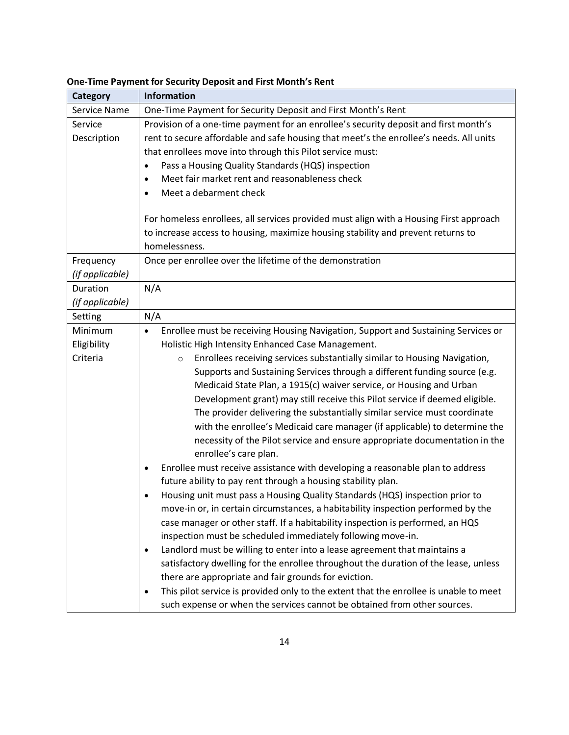| <b>Category</b> | <b>Information</b>                                                                             |  |  |  |
|-----------------|------------------------------------------------------------------------------------------------|--|--|--|
| Service Name    | One-Time Payment for Security Deposit and First Month's Rent                                   |  |  |  |
| Service         | Provision of a one-time payment for an enrollee's security deposit and first month's           |  |  |  |
| Description     | rent to secure affordable and safe housing that meet's the enrollee's needs. All units         |  |  |  |
|                 | that enrollees move into through this Pilot service must:                                      |  |  |  |
|                 | Pass a Housing Quality Standards (HQS) inspection<br>٠                                         |  |  |  |
|                 | Meet fair market rent and reasonableness check<br>$\bullet$                                    |  |  |  |
|                 | Meet a debarment check                                                                         |  |  |  |
|                 |                                                                                                |  |  |  |
|                 | For homeless enrollees, all services provided must align with a Housing First approach         |  |  |  |
|                 | to increase access to housing, maximize housing stability and prevent returns to               |  |  |  |
|                 | homelessness.                                                                                  |  |  |  |
| Frequency       | Once per enrollee over the lifetime of the demonstration                                       |  |  |  |
| (if applicable) |                                                                                                |  |  |  |
| Duration        | N/A                                                                                            |  |  |  |
| (if applicable) |                                                                                                |  |  |  |
| Setting         | N/A                                                                                            |  |  |  |
| Minimum         | Enrollee must be receiving Housing Navigation, Support and Sustaining Services or<br>$\bullet$ |  |  |  |
| Eligibility     | Holistic High Intensity Enhanced Case Management.                                              |  |  |  |
| Criteria        | Enrollees receiving services substantially similar to Housing Navigation,<br>$\circ$           |  |  |  |
|                 | Supports and Sustaining Services through a different funding source (e.g.                      |  |  |  |
|                 | Medicaid State Plan, a 1915(c) waiver service, or Housing and Urban                            |  |  |  |
|                 | Development grant) may still receive this Pilot service if deemed eligible.                    |  |  |  |
|                 | The provider delivering the substantially similar service must coordinate                      |  |  |  |
|                 | with the enrollee's Medicaid care manager (if applicable) to determine the                     |  |  |  |
|                 | necessity of the Pilot service and ensure appropriate documentation in the                     |  |  |  |
|                 | enrollee's care plan.                                                                          |  |  |  |
|                 | Enrollee must receive assistance with developing a reasonable plan to address<br>٠             |  |  |  |
|                 | future ability to pay rent through a housing stability plan.                                   |  |  |  |
|                 | Housing unit must pass a Housing Quality Standards (HQS) inspection prior to<br>٠              |  |  |  |
|                 | move-in or, in certain circumstances, a habitability inspection performed by the               |  |  |  |
|                 | case manager or other staff. If a habitability inspection is performed, an HQS                 |  |  |  |
|                 | inspection must be scheduled immediately following move-in.                                    |  |  |  |
|                 | Landlord must be willing to enter into a lease agreement that maintains a<br>٠                 |  |  |  |
|                 | satisfactory dwelling for the enrollee throughout the duration of the lease, unless            |  |  |  |
|                 | there are appropriate and fair grounds for eviction.                                           |  |  |  |
|                 | This pilot service is provided only to the extent that the enrollee is unable to meet<br>٠     |  |  |  |
|                 | such expense or when the services cannot be obtained from other sources.                       |  |  |  |

#### **One-Time Payment for Security Deposit and First Month's Rent**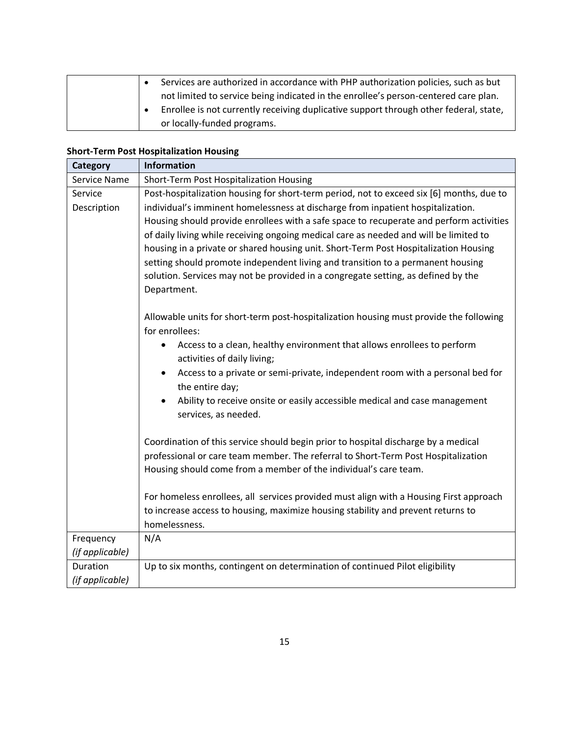|  | Services are authorized in accordance with PHP authorization policies, such as but    |
|--|---------------------------------------------------------------------------------------|
|  | not limited to service being indicated in the enrollee's person-centered care plan.   |
|  | Enrollee is not currently receiving duplicative support through other federal, state, |
|  | or locally-funded programs.                                                           |

# **Short-Term Post Hospitalization Housing**

| Category            | <b>Information</b>                                                                                            |  |  |  |
|---------------------|---------------------------------------------------------------------------------------------------------------|--|--|--|
| <b>Service Name</b> | Short-Term Post Hospitalization Housing                                                                       |  |  |  |
| Service             | Post-hospitalization housing for short-term period, not to exceed six [6] months, due to                      |  |  |  |
| Description         | individual's imminent homelessness at discharge from inpatient hospitalization.                               |  |  |  |
|                     | Housing should provide enrollees with a safe space to recuperate and perform activities                       |  |  |  |
|                     | of daily living while receiving ongoing medical care as needed and will be limited to                         |  |  |  |
|                     | housing in a private or shared housing unit. Short-Term Post Hospitalization Housing                          |  |  |  |
|                     | setting should promote independent living and transition to a permanent housing                               |  |  |  |
|                     | solution. Services may not be provided in a congregate setting, as defined by the                             |  |  |  |
|                     | Department.                                                                                                   |  |  |  |
|                     |                                                                                                               |  |  |  |
|                     | Allowable units for short-term post-hospitalization housing must provide the following<br>for enrollees:      |  |  |  |
|                     |                                                                                                               |  |  |  |
|                     | Access to a clean, healthy environment that allows enrollees to perform<br>activities of daily living;        |  |  |  |
|                     | Access to a private or semi-private, independent room with a personal bed for<br>$\bullet$<br>the entire day; |  |  |  |
|                     | Ability to receive onsite or easily accessible medical and case management<br>services, as needed.            |  |  |  |
|                     | Coordination of this service should begin prior to hospital discharge by a medical                            |  |  |  |
|                     | professional or care team member. The referral to Short-Term Post Hospitalization                             |  |  |  |
|                     | Housing should come from a member of the individual's care team.                                              |  |  |  |
|                     |                                                                                                               |  |  |  |
|                     | For homeless enrollees, all services provided must align with a Housing First approach                        |  |  |  |
|                     | to increase access to housing, maximize housing stability and prevent returns to                              |  |  |  |
|                     | homelessness.                                                                                                 |  |  |  |
| Frequency           | N/A                                                                                                           |  |  |  |
| (if applicable)     |                                                                                                               |  |  |  |
| Duration            | Up to six months, contingent on determination of continued Pilot eligibility                                  |  |  |  |
| (if applicable)     |                                                                                                               |  |  |  |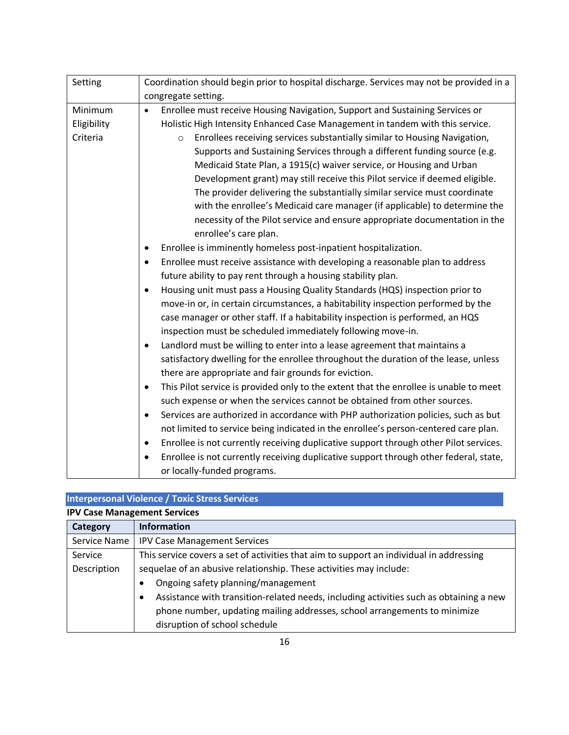| Setting     | Coordination should begin prior to hospital discharge. Services may not be provided in a           |
|-------------|----------------------------------------------------------------------------------------------------|
|             | congregate setting.                                                                                |
| Minimum     | Enrollee must receive Housing Navigation, Support and Sustaining Services or<br>$\bullet$          |
| Eligibility | Holistic High Intensity Enhanced Case Management in tandem with this service.                      |
| Criteria    | Enrollees receiving services substantially similar to Housing Navigation,<br>$\circ$               |
|             | Supports and Sustaining Services through a different funding source (e.g.                          |
|             | Medicaid State Plan, a 1915(c) waiver service, or Housing and Urban                                |
|             | Development grant) may still receive this Pilot service if deemed eligible.                        |
|             | The provider delivering the substantially similar service must coordinate                          |
|             | with the enrollee's Medicaid care manager (if applicable) to determine the                         |
|             | necessity of the Pilot service and ensure appropriate documentation in the                         |
|             | enrollee's care plan.                                                                              |
|             | Enrollee is imminently homeless post-inpatient hospitalization.<br>$\bullet$                       |
|             | Enrollee must receive assistance with developing a reasonable plan to address<br>$\bullet$         |
|             | future ability to pay rent through a housing stability plan.                                       |
|             | Housing unit must pass a Housing Quality Standards (HQS) inspection prior to<br>$\bullet$          |
|             | move-in or, in certain circumstances, a habitability inspection performed by the                   |
|             | case manager or other staff. If a habitability inspection is performed, an HQS                     |
|             | inspection must be scheduled immediately following move-in.                                        |
|             | Landlord must be willing to enter into a lease agreement that maintains a<br>$\bullet$             |
|             | satisfactory dwelling for the enrollee throughout the duration of the lease, unless                |
|             | there are appropriate and fair grounds for eviction.                                               |
|             | This Pilot service is provided only to the extent that the enrollee is unable to meet<br>$\bullet$ |
|             | such expense or when the services cannot be obtained from other sources.                           |
|             | Services are authorized in accordance with PHP authorization policies, such as but<br>$\bullet$    |
|             | not limited to service being indicated in the enrollee's person-centered care plan.                |
|             | Enrollee is not currently receiving duplicative support through other Pilot services.<br>$\bullet$ |
|             | Enrollee is not currently receiving duplicative support through other federal, state,<br>$\bullet$ |
|             | or locally-funded programs.                                                                        |

# **Interpersonal Violence / Toxic Stress Services**

| <b>IPV Case Management Services</b> |                                                                                                     |
|-------------------------------------|-----------------------------------------------------------------------------------------------------|
| Category                            | <b>Information</b>                                                                                  |
| Service Name                        | <b>IPV Case Management Services</b>                                                                 |
| Service                             | This service covers a set of activities that aim to support an individual in addressing             |
| Description                         | sequelae of an abusive relationship. These activities may include:                                  |
|                                     | Ongoing safety planning/management<br>$\bullet$                                                     |
|                                     | Assistance with transition-related needs, including activities such as obtaining a new<br>$\bullet$ |
|                                     | phone number, updating mailing addresses, school arrangements to minimize                           |
|                                     | disruption of school schedule                                                                       |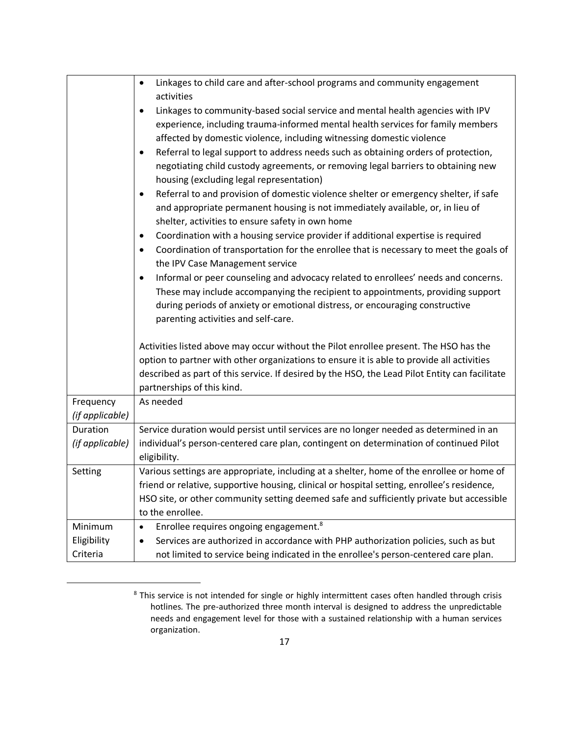|                 | Linkages to child care and after-school programs and community engagement<br>$\bullet$<br>activities                                                                                                                                    |
|-----------------|-----------------------------------------------------------------------------------------------------------------------------------------------------------------------------------------------------------------------------------------|
|                 | Linkages to community-based social service and mental health agencies with IPV<br>$\bullet$<br>experience, including trauma-informed mental health services for family members                                                          |
|                 | affected by domestic violence, including witnessing domestic violence                                                                                                                                                                   |
|                 | Referral to legal support to address needs such as obtaining orders of protection,<br>٠                                                                                                                                                 |
|                 | negotiating child custody agreements, or removing legal barriers to obtaining new<br>housing (excluding legal representation)                                                                                                           |
|                 | Referral to and provision of domestic violence shelter or emergency shelter, if safe<br>$\bullet$<br>and appropriate permanent housing is not immediately available, or, in lieu of<br>shelter, activities to ensure safety in own home |
|                 | Coordination with a housing service provider if additional expertise is required<br>$\bullet$                                                                                                                                           |
|                 | Coordination of transportation for the enrollee that is necessary to meet the goals of<br>٠<br>the IPV Case Management service                                                                                                          |
|                 | Informal or peer counseling and advocacy related to enrollees' needs and concerns.<br>$\bullet$                                                                                                                                         |
|                 | These may include accompanying the recipient to appointments, providing support                                                                                                                                                         |
|                 | during periods of anxiety or emotional distress, or encouraging constructive                                                                                                                                                            |
|                 | parenting activities and self-care.                                                                                                                                                                                                     |
|                 | Activities listed above may occur without the Pilot enrollee present. The HSO has the                                                                                                                                                   |
|                 | option to partner with other organizations to ensure it is able to provide all activities                                                                                                                                               |
|                 | described as part of this service. If desired by the HSO, the Lead Pilot Entity can facilitate                                                                                                                                          |
|                 | partnerships of this kind.                                                                                                                                                                                                              |
| Frequency       | As needed                                                                                                                                                                                                                               |
| (if applicable) |                                                                                                                                                                                                                                         |
| Duration        | Service duration would persist until services are no longer needed as determined in an                                                                                                                                                  |
| (if applicable) | individual's person-centered care plan, contingent on determination of continued Pilot                                                                                                                                                  |
|                 | eligibility.                                                                                                                                                                                                                            |
| Setting         | Various settings are appropriate, including at a shelter, home of the enrollee or home of                                                                                                                                               |
|                 | friend or relative, supportive housing, clinical or hospital setting, enrollee's residence,<br>HSO site, or other community setting deemed safe and sufficiently private but accessible                                                 |
|                 | to the enrollee.                                                                                                                                                                                                                        |
| Minimum         | Enrollee requires ongoing engagement. <sup>8</sup><br>$\bullet$                                                                                                                                                                         |
| Eligibility     | Services are authorized in accordance with PHP authorization policies, such as but<br>٠                                                                                                                                                 |
| Criteria        | not limited to service being indicated in the enrollee's person-centered care plan.                                                                                                                                                     |

<sup>&</sup>lt;sup>8</sup> This service is not intended for single or highly intermittent cases often handled through crisis hotlines. The pre-authorized three month interval is designed to address the unpredictable needs and engagement level for those with a sustained relationship with a human services organization.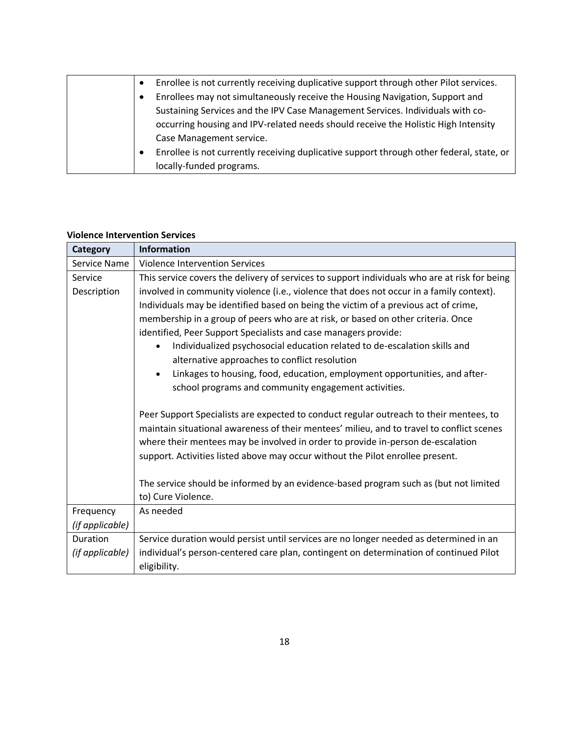| Enrollee is not currently receiving duplicative support through other Pilot services.<br>$\bullet$    |
|-------------------------------------------------------------------------------------------------------|
| Enrollees may not simultaneously receive the Housing Navigation, Support and<br>$\bullet$             |
| Sustaining Services and the IPV Case Management Services. Individuals with co-                        |
| occurring housing and IPV-related needs should receive the Holistic High Intensity                    |
| Case Management service.                                                                              |
| Enrollee is not currently receiving duplicative support through other federal, state, or<br>$\bullet$ |
| locally-funded programs.                                                                              |

#### **Violence Intervention Services**

| Category        | <b>Information</b>                                                                            |
|-----------------|-----------------------------------------------------------------------------------------------|
| Service Name    | <b>Violence Intervention Services</b>                                                         |
| Service         | This service covers the delivery of services to support individuals who are at risk for being |
| Description     | involved in community violence (i.e., violence that does not occur in a family context).      |
|                 | Individuals may be identified based on being the victim of a previous act of crime,           |
|                 | membership in a group of peers who are at risk, or based on other criteria. Once              |
|                 | identified, Peer Support Specialists and case managers provide:                               |
|                 | Individualized psychosocial education related to de-escalation skills and                     |
|                 | alternative approaches to conflict resolution                                                 |
|                 | Linkages to housing, food, education, employment opportunities, and after-                    |
|                 | school programs and community engagement activities.                                          |
|                 |                                                                                               |
|                 | Peer Support Specialists are expected to conduct regular outreach to their mentees, to        |
|                 | maintain situational awareness of their mentees' milieu, and to travel to conflict scenes     |
|                 | where their mentees may be involved in order to provide in-person de-escalation               |
|                 | support. Activities listed above may occur without the Pilot enrollee present.                |
|                 |                                                                                               |
|                 | The service should be informed by an evidence-based program such as (but not limited          |
|                 | to) Cure Violence.                                                                            |
| Frequency       | As needed                                                                                     |
| (if applicable) |                                                                                               |
| Duration        | Service duration would persist until services are no longer needed as determined in an        |
| (if applicable) | individual's person-centered care plan, contingent on determination of continued Pilot        |
|                 | eligibility.                                                                                  |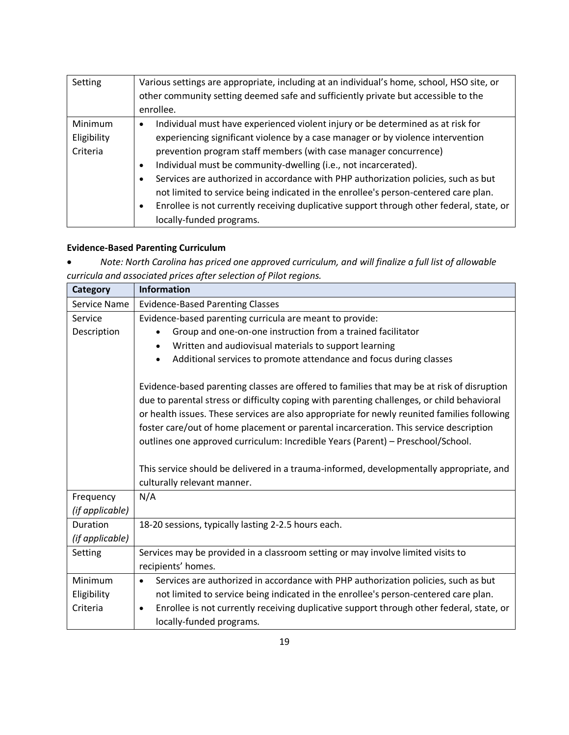| Setting     | Various settings are appropriate, including at an individual's home, school, HSO site, or<br>other community setting deemed safe and sufficiently private but accessible to the<br>enrollee. |
|-------------|----------------------------------------------------------------------------------------------------------------------------------------------------------------------------------------------|
|             |                                                                                                                                                                                              |
| Minimum     | Individual must have experienced violent injury or be determined as at risk for<br>٠                                                                                                         |
| Eligibility | experiencing significant violence by a case manager or by violence intervention                                                                                                              |
| Criteria    | prevention program staff members (with case manager concurrence)                                                                                                                             |
|             | Individual must be community-dwelling (i.e., not incarcerated).<br>$\bullet$                                                                                                                 |
|             | Services are authorized in accordance with PHP authorization policies, such as but<br>$\bullet$                                                                                              |
|             | not limited to service being indicated in the enrollee's person-centered care plan.                                                                                                          |
|             | Enrollee is not currently receiving duplicative support through other federal, state, or<br>$\bullet$                                                                                        |
|             | locally-funded programs.                                                                                                                                                                     |

# **Evidence-Based Parenting Curriculum**

• *Note: North Carolina has priced one approved curriculum, and will finalize a full list of allowable curricula and associated prices after selection of Pilot regions.* 

| <b>Category</b> | <b>Information</b>                                                                                    |
|-----------------|-------------------------------------------------------------------------------------------------------|
| Service Name    | <b>Evidence-Based Parenting Classes</b>                                                               |
| Service         | Evidence-based parenting curricula are meant to provide:                                              |
| Description     | Group and one-on-one instruction from a trained facilitator                                           |
|                 | Written and audiovisual materials to support learning                                                 |
|                 | Additional services to promote attendance and focus during classes                                    |
|                 | Evidence-based parenting classes are offered to families that may be at risk of disruption            |
|                 | due to parental stress or difficulty coping with parenting challenges, or child behavioral            |
|                 | or health issues. These services are also appropriate for newly reunited families following           |
|                 | foster care/out of home placement or parental incarceration. This service description                 |
|                 | outlines one approved curriculum: Incredible Years (Parent) - Preschool/School.                       |
|                 |                                                                                                       |
|                 | This service should be delivered in a trauma-informed, developmentally appropriate, and               |
|                 | culturally relevant manner.                                                                           |
| Frequency       | N/A                                                                                                   |
| (if applicable) |                                                                                                       |
| Duration        | 18-20 sessions, typically lasting 2-2.5 hours each.                                                   |
| (if applicable) |                                                                                                       |
| Setting         | Services may be provided in a classroom setting or may involve limited visits to                      |
|                 | recipients' homes.                                                                                    |
| Minimum         | Services are authorized in accordance with PHP authorization policies, such as but<br>$\bullet$       |
| Eligibility     | not limited to service being indicated in the enrollee's person-centered care plan.                   |
| Criteria        | Enrollee is not currently receiving duplicative support through other federal, state, or<br>$\bullet$ |
|                 | locally-funded programs.                                                                              |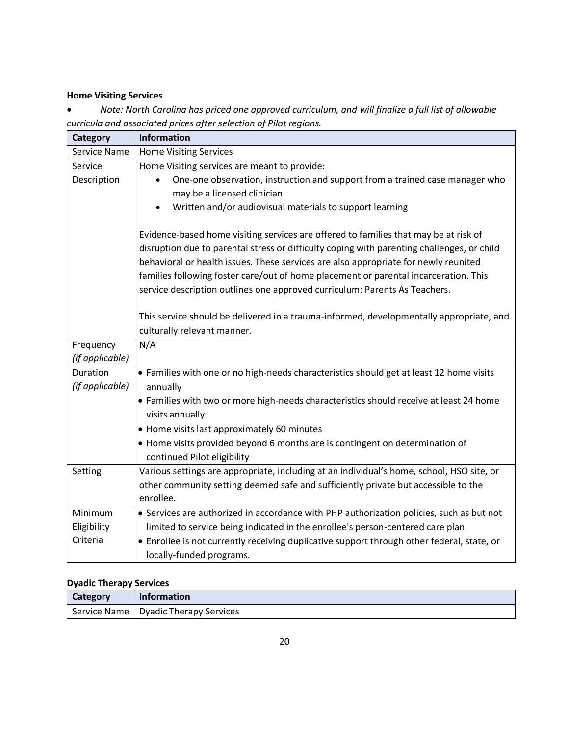### **Home Visiting Services**

• *Note: North Carolina has priced one approved curriculum, and will finalize a full list of allowable curricula and associated prices after selection of Pilot regions.* 

| Category        | <b>Information</b>                                                                         |
|-----------------|--------------------------------------------------------------------------------------------|
| Service Name    | <b>Home Visiting Services</b>                                                              |
| Service         | Home Visiting services are meant to provide:                                               |
| Description     | One-one observation, instruction and support from a trained case manager who               |
|                 | may be a licensed clinician                                                                |
|                 | Written and/or audiovisual materials to support learning                                   |
|                 |                                                                                            |
|                 | Evidence-based home visiting services are offered to families that may be at risk of       |
|                 | disruption due to parental stress or difficulty coping with parenting challenges, or child |
|                 | behavioral or health issues. These services are also appropriate for newly reunited        |
|                 | families following foster care/out of home placement or parental incarceration. This       |
|                 | service description outlines one approved curriculum: Parents As Teachers.                 |
|                 |                                                                                            |
|                 | This service should be delivered in a trauma-informed, developmentally appropriate, and    |
|                 | culturally relevant manner.                                                                |
| Frequency       | N/A                                                                                        |
| (if applicable) |                                                                                            |
| Duration        | • Families with one or no high-needs characteristics should get at least 12 home visits    |
| (if applicable) | annually                                                                                   |
|                 | • Families with two or more high-needs characteristics should receive at least 24 home     |
|                 | visits annually                                                                            |
|                 | • Home visits last approximately 60 minutes                                                |
|                 | • Home visits provided beyond 6 months are is contingent on determination of               |
|                 | continued Pilot eligibility                                                                |
| Setting         | Various settings are appropriate, including at an individual's home, school, HSO site, or  |
|                 | other community setting deemed safe and sufficiently private but accessible to the         |
|                 | enrollee.                                                                                  |
| Minimum         | • Services are authorized in accordance with PHP authorization policies, such as but not   |
| Eligibility     | limited to service being indicated in the enrollee's person-centered care plan.            |
| Criteria        | • Enrollee is not currently receiving duplicative support through other federal, state, or |
|                 | locally-funded programs.                                                                   |

### **Dyadic Therapy Services**

| Category | <b>Information</b>                     |
|----------|----------------------------------------|
|          | Service Name   Dyadic Therapy Services |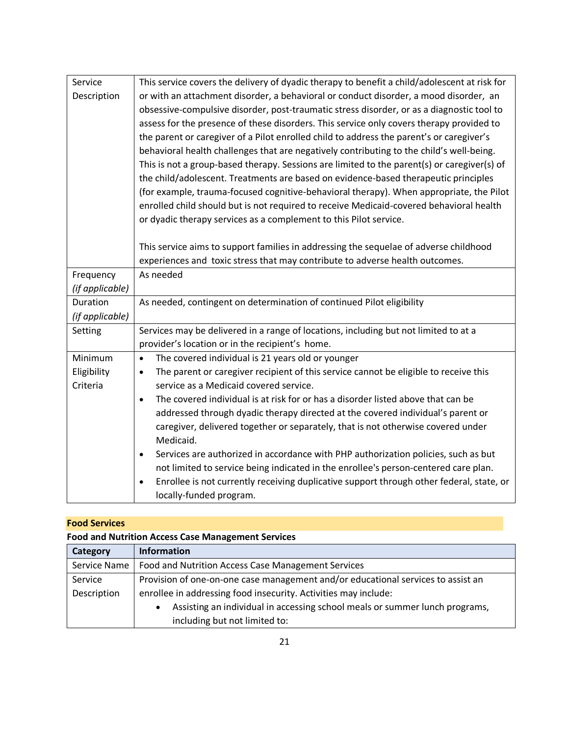| Service         | This service covers the delivery of dyadic therapy to benefit a child/adolescent at risk for          |
|-----------------|-------------------------------------------------------------------------------------------------------|
| Description     | or with an attachment disorder, a behavioral or conduct disorder, a mood disorder, an                 |
|                 | obsessive-compulsive disorder, post-traumatic stress disorder, or as a diagnostic tool to             |
|                 | assess for the presence of these disorders. This service only covers therapy provided to              |
|                 | the parent or caregiver of a Pilot enrolled child to address the parent's or caregiver's              |
|                 | behavioral health challenges that are negatively contributing to the child's well-being.              |
|                 | This is not a group-based therapy. Sessions are limited to the parent(s) or caregiver(s) of           |
|                 | the child/adolescent. Treatments are based on evidence-based therapeutic principles                   |
|                 | (for example, trauma-focused cognitive-behavioral therapy). When appropriate, the Pilot               |
|                 | enrolled child should but is not required to receive Medicaid-covered behavioral health               |
|                 | or dyadic therapy services as a complement to this Pilot service.                                     |
|                 |                                                                                                       |
|                 | This service aims to support families in addressing the sequelae of adverse childhood                 |
|                 | experiences and toxic stress that may contribute to adverse health outcomes.                          |
| Frequency       | As needed                                                                                             |
| (if applicable) |                                                                                                       |
| Duration        | As needed, contingent on determination of continued Pilot eligibility                                 |
| (if applicable) |                                                                                                       |
| Setting         | Services may be delivered in a range of locations, including but not limited to at a                  |
|                 | provider's location or in the recipient's home.                                                       |
| Minimum         | The covered individual is 21 years old or younger<br>$\bullet$                                        |
| Eligibility     | The parent or caregiver recipient of this service cannot be eligible to receive this<br>$\bullet$     |
| Criteria        | service as a Medicaid covered service.                                                                |
|                 | The covered individual is at risk for or has a disorder listed above that can be<br>$\bullet$         |
|                 | addressed through dyadic therapy directed at the covered individual's parent or                       |
|                 | caregiver, delivered together or separately, that is not otherwise covered under                      |
|                 | Medicaid.                                                                                             |
|                 | Services are authorized in accordance with PHP authorization policies, such as but<br>$\bullet$       |
|                 | not limited to service being indicated in the enrollee's person-centered care plan.                   |
|                 | Enrollee is not currently receiving duplicative support through other federal, state, or<br>$\bullet$ |
|                 | locally-funded program.                                                                               |

### **Food Services**

# **Food and Nutrition Access Case Management Services**

| Category     | <b>Information</b>                                                               |
|--------------|----------------------------------------------------------------------------------|
| Service Name | Food and Nutrition Access Case Management Services                               |
| Service      | Provision of one-on-one case management and/or educational services to assist an |
| Description  | enrollee in addressing food insecurity. Activities may include:                  |
|              | Assisting an individual in accessing school meals or summer lunch programs,      |
|              | including but not limited to:                                                    |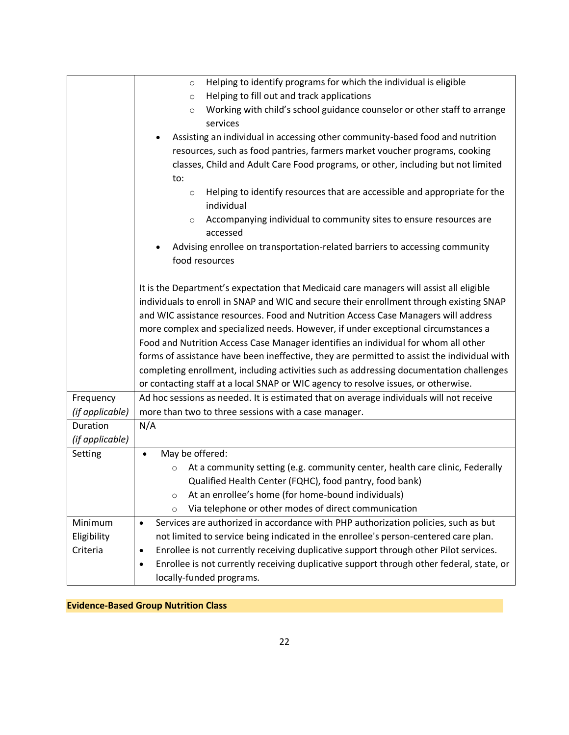| Frequency<br>(if applicable)<br>Duration<br>N/A<br>(if applicable)<br>Setting<br>$\bullet$ | Helping to identify programs for which the individual is eligible<br>$\circ$<br>Helping to fill out and track applications<br>$\circ$<br>Working with child's school guidance counselor or other staff to arrange<br>$\circ$<br>services<br>Assisting an individual in accessing other community-based food and nutrition<br>resources, such as food pantries, farmers market voucher programs, cooking<br>classes, Child and Adult Care Food programs, or other, including but not limited<br>to:<br>Helping to identify resources that are accessible and appropriate for the<br>$\circ$<br>individual<br>Accompanying individual to community sites to ensure resources are<br>$\circ$<br>accessed<br>Advising enrollee on transportation-related barriers to accessing community<br>food resources<br>It is the Department's expectation that Medicaid care managers will assist all eligible<br>individuals to enroll in SNAP and WIC and secure their enrollment through existing SNAP<br>and WIC assistance resources. Food and Nutrition Access Case Managers will address<br>more complex and specialized needs. However, if under exceptional circumstances a<br>Food and Nutrition Access Case Manager identifies an individual for whom all other<br>forms of assistance have been ineffective, they are permitted to assist the individual with |
|--------------------------------------------------------------------------------------------|--------------------------------------------------------------------------------------------------------------------------------------------------------------------------------------------------------------------------------------------------------------------------------------------------------------------------------------------------------------------------------------------------------------------------------------------------------------------------------------------------------------------------------------------------------------------------------------------------------------------------------------------------------------------------------------------------------------------------------------------------------------------------------------------------------------------------------------------------------------------------------------------------------------------------------------------------------------------------------------------------------------------------------------------------------------------------------------------------------------------------------------------------------------------------------------------------------------------------------------------------------------------------------------------------------------------------------------------------------------|
|                                                                                            |                                                                                                                                                                                                                                                                                                                                                                                                                                                                                                                                                                                                                                                                                                                                                                                                                                                                                                                                                                                                                                                                                                                                                                                                                                                                                                                                                              |
|                                                                                            |                                                                                                                                                                                                                                                                                                                                                                                                                                                                                                                                                                                                                                                                                                                                                                                                                                                                                                                                                                                                                                                                                                                                                                                                                                                                                                                                                              |
|                                                                                            |                                                                                                                                                                                                                                                                                                                                                                                                                                                                                                                                                                                                                                                                                                                                                                                                                                                                                                                                                                                                                                                                                                                                                                                                                                                                                                                                                              |
|                                                                                            |                                                                                                                                                                                                                                                                                                                                                                                                                                                                                                                                                                                                                                                                                                                                                                                                                                                                                                                                                                                                                                                                                                                                                                                                                                                                                                                                                              |
|                                                                                            |                                                                                                                                                                                                                                                                                                                                                                                                                                                                                                                                                                                                                                                                                                                                                                                                                                                                                                                                                                                                                                                                                                                                                                                                                                                                                                                                                              |
|                                                                                            |                                                                                                                                                                                                                                                                                                                                                                                                                                                                                                                                                                                                                                                                                                                                                                                                                                                                                                                                                                                                                                                                                                                                                                                                                                                                                                                                                              |
|                                                                                            |                                                                                                                                                                                                                                                                                                                                                                                                                                                                                                                                                                                                                                                                                                                                                                                                                                                                                                                                                                                                                                                                                                                                                                                                                                                                                                                                                              |
|                                                                                            |                                                                                                                                                                                                                                                                                                                                                                                                                                                                                                                                                                                                                                                                                                                                                                                                                                                                                                                                                                                                                                                                                                                                                                                                                                                                                                                                                              |
|                                                                                            |                                                                                                                                                                                                                                                                                                                                                                                                                                                                                                                                                                                                                                                                                                                                                                                                                                                                                                                                                                                                                                                                                                                                                                                                                                                                                                                                                              |
|                                                                                            |                                                                                                                                                                                                                                                                                                                                                                                                                                                                                                                                                                                                                                                                                                                                                                                                                                                                                                                                                                                                                                                                                                                                                                                                                                                                                                                                                              |
|                                                                                            |                                                                                                                                                                                                                                                                                                                                                                                                                                                                                                                                                                                                                                                                                                                                                                                                                                                                                                                                                                                                                                                                                                                                                                                                                                                                                                                                                              |
|                                                                                            |                                                                                                                                                                                                                                                                                                                                                                                                                                                                                                                                                                                                                                                                                                                                                                                                                                                                                                                                                                                                                                                                                                                                                                                                                                                                                                                                                              |
|                                                                                            |                                                                                                                                                                                                                                                                                                                                                                                                                                                                                                                                                                                                                                                                                                                                                                                                                                                                                                                                                                                                                                                                                                                                                                                                                                                                                                                                                              |
|                                                                                            |                                                                                                                                                                                                                                                                                                                                                                                                                                                                                                                                                                                                                                                                                                                                                                                                                                                                                                                                                                                                                                                                                                                                                                                                                                                                                                                                                              |
|                                                                                            |                                                                                                                                                                                                                                                                                                                                                                                                                                                                                                                                                                                                                                                                                                                                                                                                                                                                                                                                                                                                                                                                                                                                                                                                                                                                                                                                                              |
|                                                                                            |                                                                                                                                                                                                                                                                                                                                                                                                                                                                                                                                                                                                                                                                                                                                                                                                                                                                                                                                                                                                                                                                                                                                                                                                                                                                                                                                                              |
|                                                                                            |                                                                                                                                                                                                                                                                                                                                                                                                                                                                                                                                                                                                                                                                                                                                                                                                                                                                                                                                                                                                                                                                                                                                                                                                                                                                                                                                                              |
|                                                                                            | completing enrollment, including activities such as addressing documentation challenges                                                                                                                                                                                                                                                                                                                                                                                                                                                                                                                                                                                                                                                                                                                                                                                                                                                                                                                                                                                                                                                                                                                                                                                                                                                                      |
|                                                                                            | or contacting staff at a local SNAP or WIC agency to resolve issues, or otherwise.                                                                                                                                                                                                                                                                                                                                                                                                                                                                                                                                                                                                                                                                                                                                                                                                                                                                                                                                                                                                                                                                                                                                                                                                                                                                           |
|                                                                                            | Ad hoc sessions as needed. It is estimated that on average individuals will not receive                                                                                                                                                                                                                                                                                                                                                                                                                                                                                                                                                                                                                                                                                                                                                                                                                                                                                                                                                                                                                                                                                                                                                                                                                                                                      |
|                                                                                            | more than two to three sessions with a case manager.                                                                                                                                                                                                                                                                                                                                                                                                                                                                                                                                                                                                                                                                                                                                                                                                                                                                                                                                                                                                                                                                                                                                                                                                                                                                                                         |
|                                                                                            |                                                                                                                                                                                                                                                                                                                                                                                                                                                                                                                                                                                                                                                                                                                                                                                                                                                                                                                                                                                                                                                                                                                                                                                                                                                                                                                                                              |
|                                                                                            |                                                                                                                                                                                                                                                                                                                                                                                                                                                                                                                                                                                                                                                                                                                                                                                                                                                                                                                                                                                                                                                                                                                                                                                                                                                                                                                                                              |
|                                                                                            | May be offered:                                                                                                                                                                                                                                                                                                                                                                                                                                                                                                                                                                                                                                                                                                                                                                                                                                                                                                                                                                                                                                                                                                                                                                                                                                                                                                                                              |
|                                                                                            | At a community setting (e.g. community center, health care clinic, Federally<br>$\circ$                                                                                                                                                                                                                                                                                                                                                                                                                                                                                                                                                                                                                                                                                                                                                                                                                                                                                                                                                                                                                                                                                                                                                                                                                                                                      |
|                                                                                            | Qualified Health Center (FQHC), food pantry, food bank)                                                                                                                                                                                                                                                                                                                                                                                                                                                                                                                                                                                                                                                                                                                                                                                                                                                                                                                                                                                                                                                                                                                                                                                                                                                                                                      |
|                                                                                            | At an enrollee's home (for home-bound individuals)<br>$\circ$                                                                                                                                                                                                                                                                                                                                                                                                                                                                                                                                                                                                                                                                                                                                                                                                                                                                                                                                                                                                                                                                                                                                                                                                                                                                                                |
|                                                                                            | $\circ$                                                                                                                                                                                                                                                                                                                                                                                                                                                                                                                                                                                                                                                                                                                                                                                                                                                                                                                                                                                                                                                                                                                                                                                                                                                                                                                                                      |
| Minimum<br>$\bullet$                                                                       |                                                                                                                                                                                                                                                                                                                                                                                                                                                                                                                                                                                                                                                                                                                                                                                                                                                                                                                                                                                                                                                                                                                                                                                                                                                                                                                                                              |
|                                                                                            | Services are authorized in accordance with PHP authorization policies, such as but                                                                                                                                                                                                                                                                                                                                                                                                                                                                                                                                                                                                                                                                                                                                                                                                                                                                                                                                                                                                                                                                                                                                                                                                                                                                           |
| Criteria<br>٠                                                                              |                                                                                                                                                                                                                                                                                                                                                                                                                                                                                                                                                                                                                                                                                                                                                                                                                                                                                                                                                                                                                                                                                                                                                                                                                                                                                                                                                              |
| ٠                                                                                          | not limited to service being indicated in the enrollee's person-centered care plan.                                                                                                                                                                                                                                                                                                                                                                                                                                                                                                                                                                                                                                                                                                                                                                                                                                                                                                                                                                                                                                                                                                                                                                                                                                                                          |
| locally-funded programs.                                                                   | Enrollee is not currently receiving duplicative support through other Pilot services.<br>Enrollee is not currently receiving duplicative support through other federal, state, or                                                                                                                                                                                                                                                                                                                                                                                                                                                                                                                                                                                                                                                                                                                                                                                                                                                                                                                                                                                                                                                                                                                                                                            |
| Eligibility                                                                                | Via telephone or other modes of direct communication                                                                                                                                                                                                                                                                                                                                                                                                                                                                                                                                                                                                                                                                                                                                                                                                                                                                                                                                                                                                                                                                                                                                                                                                                                                                                                         |

# **Evidence-Based Group Nutrition Class**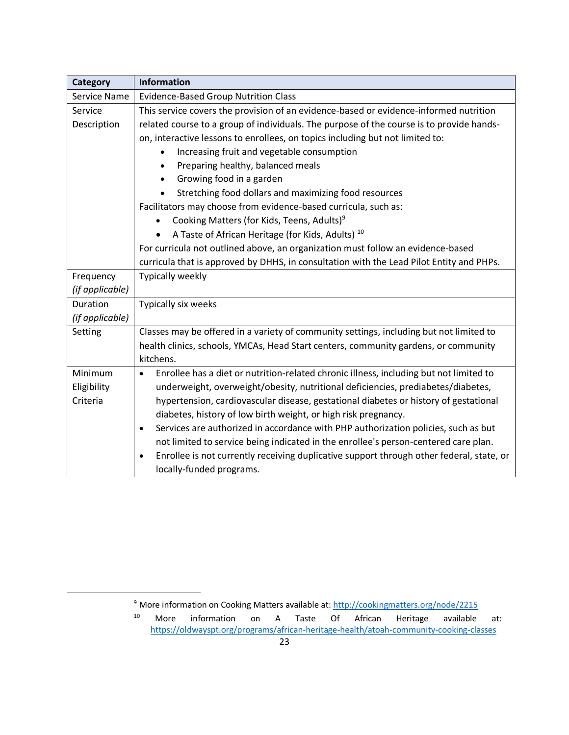| Category        | Information                                                                                           |
|-----------------|-------------------------------------------------------------------------------------------------------|
| Service Name    | <b>Evidence-Based Group Nutrition Class</b>                                                           |
| Service         | This service covers the provision of an evidence-based or evidence-informed nutrition                 |
| Description     | related course to a group of individuals. The purpose of the course is to provide hands-              |
|                 | on, interactive lessons to enrollees, on topics including but not limited to:                         |
|                 | Increasing fruit and vegetable consumption                                                            |
|                 | Preparing healthy, balanced meals<br>$\bullet$                                                        |
|                 | Growing food in a garden<br>$\bullet$                                                                 |
|                 | Stretching food dollars and maximizing food resources                                                 |
|                 | Facilitators may choose from evidence-based curricula, such as:                                       |
|                 | Cooking Matters (for Kids, Teens, Adults) <sup>9</sup>                                                |
|                 | A Taste of African Heritage (for Kids, Adults) <sup>10</sup>                                          |
|                 | For curricula not outlined above, an organization must follow an evidence-based                       |
|                 | curricula that is approved by DHHS, in consultation with the Lead Pilot Entity and PHPs.              |
| Frequency       | Typically weekly                                                                                      |
| (if applicable) |                                                                                                       |
| Duration        | Typically six weeks                                                                                   |
| (if applicable) |                                                                                                       |
| Setting         | Classes may be offered in a variety of community settings, including but not limited to               |
|                 | health clinics, schools, YMCAs, Head Start centers, community gardens, or community                   |
|                 | kitchens.                                                                                             |
| Minimum         | Enrollee has a diet or nutrition-related chronic illness, including but not limited to<br>$\bullet$   |
| Eligibility     | underweight, overweight/obesity, nutritional deficiencies, prediabetes/diabetes,                      |
| Criteria        | hypertension, cardiovascular disease, gestational diabetes or history of gestational                  |
|                 | diabetes, history of low birth weight, or high risk pregnancy.                                        |
|                 | Services are authorized in accordance with PHP authorization policies, such as but<br>$\bullet$       |
|                 | not limited to service being indicated in the enrollee's person-centered care plan.                   |
|                 | Enrollee is not currently receiving duplicative support through other federal, state, or<br>$\bullet$ |
|                 | locally-funded programs.                                                                              |

<sup>&</sup>lt;sup>9</sup> More information on Cooking Matters available at[: http://cookingmatters.org/node/2215](http://cookingmatters.org/node/2215)

<sup>10</sup> More information on A Taste Of African Heritage available at: <https://oldwayspt.org/programs/african-heritage-health/atoah-community-cooking-classes>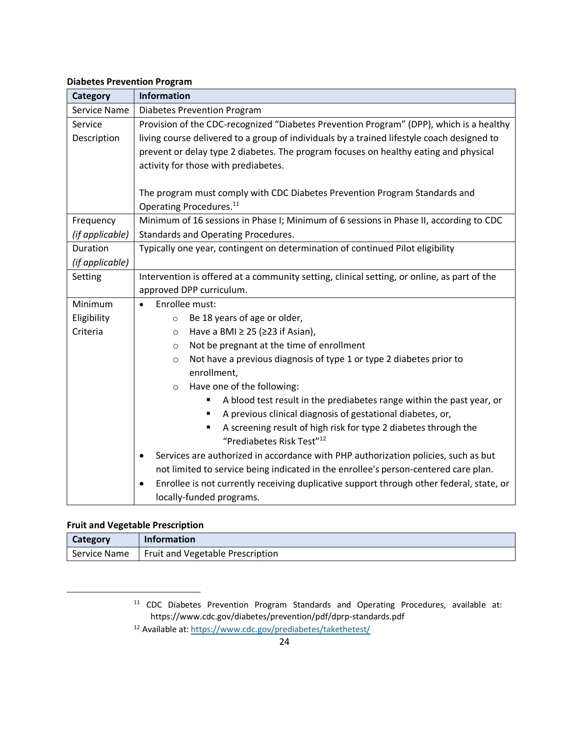#### **Diabetes Prevention Program**

| <b>Category</b> | <b>Information</b>                                                                                       |
|-----------------|----------------------------------------------------------------------------------------------------------|
| Service Name    | Diabetes Prevention Program                                                                              |
| Service         | Provision of the CDC-recognized "Diabetes Prevention Program" (DPP), which is a healthy                  |
| Description     | living course delivered to a group of individuals by a trained lifestyle coach designed to               |
|                 | prevent or delay type 2 diabetes. The program focuses on healthy eating and physical                     |
|                 | activity for those with prediabetes.                                                                     |
|                 |                                                                                                          |
|                 | The program must comply with CDC Diabetes Prevention Program Standards and                               |
|                 | Operating Procedures. <sup>11</sup>                                                                      |
| Frequency       | Minimum of 16 sessions in Phase I; Minimum of 6 sessions in Phase II, according to CDC                   |
| (if applicable) | Standards and Operating Procedures.                                                                      |
| Duration        | Typically one year, contingent on determination of continued Pilot eligibility                           |
| (if applicable) |                                                                                                          |
| Setting         | Intervention is offered at a community setting, clinical setting, or online, as part of the              |
|                 | approved DPP curriculum.                                                                                 |
| Minimum         | Enrollee must:<br>$\bullet$                                                                              |
| Eligibility     | Be 18 years of age or older,<br>$\circ$                                                                  |
| Criteria        | Have a BMI $\geq$ 25 ( $\geq$ 23 if Asian),<br>$\circ$                                                   |
|                 | Not be pregnant at the time of enrollment<br>$\circ$                                                     |
|                 | Not have a previous diagnosis of type 1 or type 2 diabetes prior to<br>$\circ$                           |
|                 | enrollment,                                                                                              |
|                 | Have one of the following:<br>$\circ$                                                                    |
|                 | A blood test result in the prediabetes range within the past year, or                                    |
|                 | A previous clinical diagnosis of gestational diabetes, or,                                               |
|                 | A screening result of high risk for type 2 diabetes through the<br>"Prediabetes Risk Test" <sup>12</sup> |
|                 | Services are authorized in accordance with PHP authorization policies, such as but<br>٠                  |
|                 | not limited to service being indicated in the enrollee's person-centered care plan.                      |
|                 | Enrollee is not currently receiving duplicative support through other federal, state, or<br>$\bullet$    |
|                 | locally-funded programs.                                                                                 |

### **Fruit and Vegetable Prescription**

| <b>Category</b> | <b>Information</b>                              |
|-----------------|-------------------------------------------------|
|                 | Service Name   Fruit and Vegetable Prescription |

<sup>11</sup> CDC Diabetes Prevention Program Standards and Operating Procedures, available at: https://www.cdc.gov/diabetes/prevention/pdf/dprp-standards.pdf

<sup>12</sup> Available at[: https://www.cdc.gov/prediabetes/takethetest/](https://www.cdc.gov/prediabetes/takethetest/)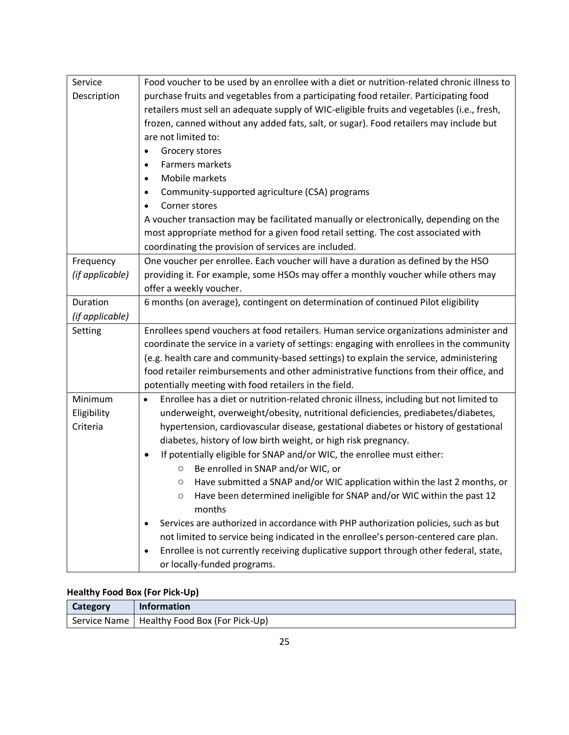| Service         | Food voucher to be used by an enrollee with a diet or nutrition-related chronic illness to          |
|-----------------|-----------------------------------------------------------------------------------------------------|
| Description     | purchase fruits and vegetables from a participating food retailer. Participating food               |
|                 | retailers must sell an adequate supply of WIC-eligible fruits and vegetables (i.e., fresh,          |
|                 | frozen, canned without any added fats, salt, or sugar). Food retailers may include but              |
|                 | are not limited to:                                                                                 |
|                 | Grocery stores<br>٠                                                                                 |
|                 | <b>Farmers markets</b><br>$\bullet$                                                                 |
|                 | Mobile markets<br>$\bullet$                                                                         |
|                 | Community-supported agriculture (CSA) programs<br>$\bullet$                                         |
|                 | Corner stores<br>$\bullet$                                                                          |
|                 | A voucher transaction may be facilitated manually or electronically, depending on the               |
|                 | most appropriate method for a given food retail setting. The cost associated with                   |
|                 | coordinating the provision of services are included.                                                |
| Frequency       | One voucher per enrollee. Each voucher will have a duration as defined by the HSO                   |
| (if applicable) | providing it. For example, some HSOs may offer a monthly voucher while others may                   |
|                 | offer a weekly voucher.                                                                             |
| Duration        | 6 months (on average), contingent on determination of continued Pilot eligibility                   |
| (if applicable) |                                                                                                     |
| Setting         | Enrollees spend vouchers at food retailers. Human service organizations administer and              |
|                 | coordinate the service in a variety of settings: engaging with enrollees in the community           |
|                 | (e.g. health care and community-based settings) to explain the service, administering               |
|                 | food retailer reimbursements and other administrative functions from their office, and              |
|                 | potentially meeting with food retailers in the field.                                               |
| Minimum         | Enrollee has a diet or nutrition-related chronic illness, including but not limited to<br>$\bullet$ |
| Eligibility     | underweight, overweight/obesity, nutritional deficiencies, prediabetes/diabetes,                    |
| Criteria        | hypertension, cardiovascular disease, gestational diabetes or history of gestational                |
|                 | diabetes, history of low birth weight, or high risk pregnancy.                                      |
|                 | If potentially eligible for SNAP and/or WIC, the enrollee must either:<br>٠                         |
|                 | Be enrolled in SNAP and/or WIC, or<br>$\circ$                                                       |
|                 | Have submitted a SNAP and/or WIC application within the last 2 months, or<br>$\circ$                |
|                 | Have been determined ineligible for SNAP and/or WIC within the past 12<br>$\circ$                   |
|                 | months                                                                                              |
|                 | Services are authorized in accordance with PHP authorization policies, such as but<br>٠             |
|                 | not limited to service being indicated in the enrollee's person-centered care plan.                 |
|                 | Enrollee is not currently receiving duplicative support through other federal, state,<br>$\bullet$  |
|                 | or locally-funded programs.                                                                         |

# **Healthy Food Box (For Pick-Up)**

| <b>Category</b> | <b>Information</b>                            |
|-----------------|-----------------------------------------------|
|                 | Service Name   Healthy Food Box (For Pick-Up) |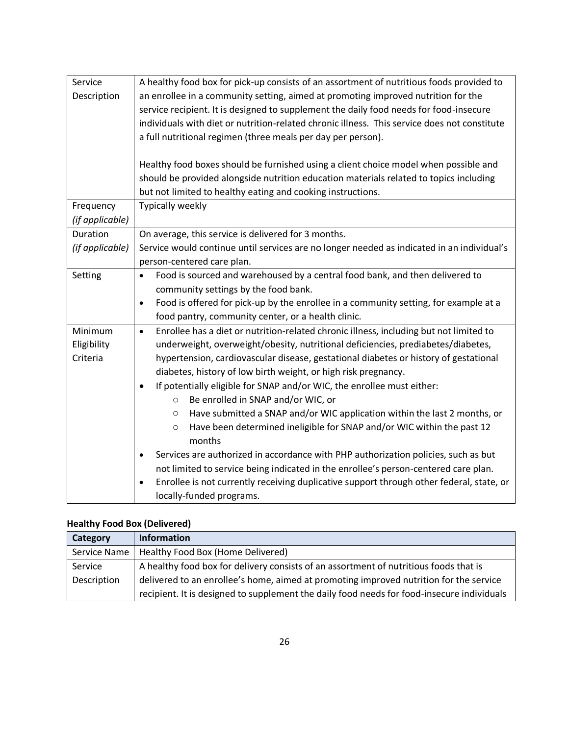| Service         | A healthy food box for pick-up consists of an assortment of nutritious foods provided to              |
|-----------------|-------------------------------------------------------------------------------------------------------|
| Description     | an enrollee in a community setting, aimed at promoting improved nutrition for the                     |
|                 | service recipient. It is designed to supplement the daily food needs for food-insecure                |
|                 | individuals with diet or nutrition-related chronic illness. This service does not constitute          |
|                 | a full nutritional regimen (three meals per day per person).                                          |
|                 |                                                                                                       |
|                 | Healthy food boxes should be furnished using a client choice model when possible and                  |
|                 | should be provided alongside nutrition education materials related to topics including                |
|                 | but not limited to healthy eating and cooking instructions.                                           |
| Frequency       | <b>Typically weekly</b>                                                                               |
| (if applicable) |                                                                                                       |
| Duration        | On average, this service is delivered for 3 months.                                                   |
| (if applicable) | Service would continue until services are no longer needed as indicated in an individual's            |
|                 | person-centered care plan.                                                                            |
| Setting         | Food is sourced and warehoused by a central food bank, and then delivered to<br>$\bullet$             |
|                 | community settings by the food bank.                                                                  |
|                 | Food is offered for pick-up by the enrollee in a community setting, for example at a<br>$\bullet$     |
|                 | food pantry, community center, or a health clinic.                                                    |
| Minimum         | Enrollee has a diet or nutrition-related chronic illness, including but not limited to<br>$\bullet$   |
| Eligibility     | underweight, overweight/obesity, nutritional deficiencies, prediabetes/diabetes,                      |
| Criteria        | hypertension, cardiovascular disease, gestational diabetes or history of gestational                  |
|                 | diabetes, history of low birth weight, or high risk pregnancy.                                        |
|                 | If potentially eligible for SNAP and/or WIC, the enrollee must either:<br>$\bullet$                   |
|                 | Be enrolled in SNAP and/or WIC, or<br>$\circ$                                                         |
|                 | Have submitted a SNAP and/or WIC application within the last 2 months, or<br>$\circ$                  |
|                 | Have been determined ineligible for SNAP and/or WIC within the past 12<br>$\circ$<br>months           |
|                 | Services are authorized in accordance with PHP authorization policies, such as but<br>$\bullet$       |
|                 | not limited to service being indicated in the enrollee's person-centered care plan.                   |
|                 | Enrollee is not currently receiving duplicative support through other federal, state, or<br>$\bullet$ |
|                 | locally-funded programs.                                                                              |
|                 |                                                                                                       |

# **Healthy Food Box (Delivered)**

| Category     | <b>Information</b>                                                                         |
|--------------|--------------------------------------------------------------------------------------------|
| Service Name | Healthy Food Box (Home Delivered)                                                          |
| Service      | A healthy food box for delivery consists of an assortment of nutritious foods that is      |
| Description  | delivered to an enrollee's home, aimed at promoting improved nutrition for the service     |
|              | recipient. It is designed to supplement the daily food needs for food-insecure individuals |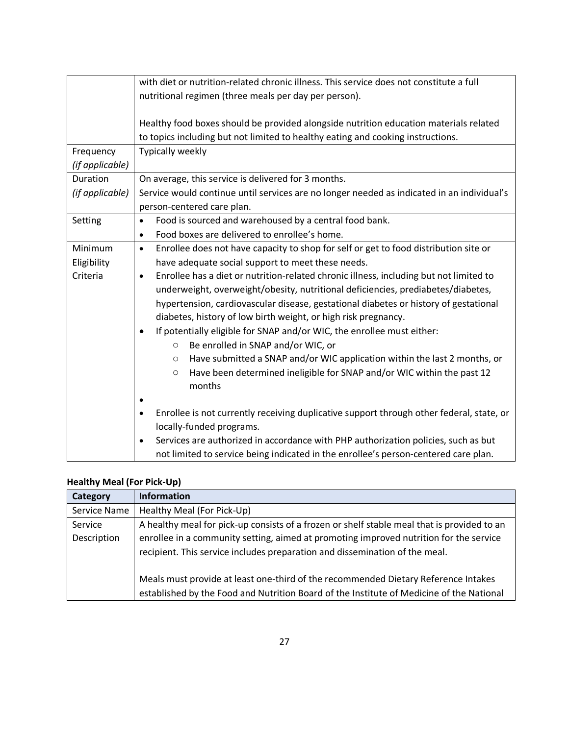|                                    | with diet or nutrition-related chronic illness. This service does not constitute a full<br>nutritional regimen (three meals per day per person).                                                                                                                                                                                                                                                                                                                                                                                                                                                                                                                                                                                                                                                                                           |
|------------------------------------|--------------------------------------------------------------------------------------------------------------------------------------------------------------------------------------------------------------------------------------------------------------------------------------------------------------------------------------------------------------------------------------------------------------------------------------------------------------------------------------------------------------------------------------------------------------------------------------------------------------------------------------------------------------------------------------------------------------------------------------------------------------------------------------------------------------------------------------------|
|                                    | Healthy food boxes should be provided alongside nutrition education materials related<br>to topics including but not limited to healthy eating and cooking instructions.                                                                                                                                                                                                                                                                                                                                                                                                                                                                                                                                                                                                                                                                   |
| Frequency<br>(if applicable)       | <b>Typically weekly</b>                                                                                                                                                                                                                                                                                                                                                                                                                                                                                                                                                                                                                                                                                                                                                                                                                    |
| Duration<br>(if applicable)        | On average, this service is delivered for 3 months.<br>Service would continue until services are no longer needed as indicated in an individual's<br>person-centered care plan.                                                                                                                                                                                                                                                                                                                                                                                                                                                                                                                                                                                                                                                            |
| Setting                            | Food is sourced and warehoused by a central food bank.<br>$\bullet$<br>Food boxes are delivered to enrollee's home.<br>$\bullet$                                                                                                                                                                                                                                                                                                                                                                                                                                                                                                                                                                                                                                                                                                           |
| Minimum<br>Eligibility<br>Criteria | Enrollee does not have capacity to shop for self or get to food distribution site or<br>$\bullet$<br>have adequate social support to meet these needs.<br>Enrollee has a diet or nutrition-related chronic illness, including but not limited to<br>$\bullet$<br>underweight, overweight/obesity, nutritional deficiencies, prediabetes/diabetes,<br>hypertension, cardiovascular disease, gestational diabetes or history of gestational<br>diabetes, history of low birth weight, or high risk pregnancy.<br>If potentially eligible for SNAP and/or WIC, the enrollee must either:<br>$\bullet$<br>Be enrolled in SNAP and/or WIC, or<br>$\circ$<br>Have submitted a SNAP and/or WIC application within the last 2 months, or<br>$\circ$<br>Have been determined ineligible for SNAP and/or WIC within the past 12<br>$\circ$<br>months |
|                                    | Enrollee is not currently receiving duplicative support through other federal, state, or<br>$\bullet$<br>locally-funded programs.<br>Services are authorized in accordance with PHP authorization policies, such as but<br>$\bullet$<br>not limited to service being indicated in the enrollee's person-centered care plan.                                                                                                                                                                                                                                                                                                                                                                                                                                                                                                                |

# **Healthy Meal (For Pick-Up)**

| Category     | <b>Information</b>                                                                                                                                                    |
|--------------|-----------------------------------------------------------------------------------------------------------------------------------------------------------------------|
| Service Name | Healthy Meal (For Pick-Up)                                                                                                                                            |
| Service      | A healthy meal for pick-up consists of a frozen or shelf stable meal that is provided to an                                                                           |
| Description  | enrollee in a community setting, aimed at promoting improved nutrition for the service<br>recipient. This service includes preparation and dissemination of the meal. |
|              | Meals must provide at least one-third of the recommended Dietary Reference Intakes                                                                                    |
|              | established by the Food and Nutrition Board of the Institute of Medicine of the National                                                                              |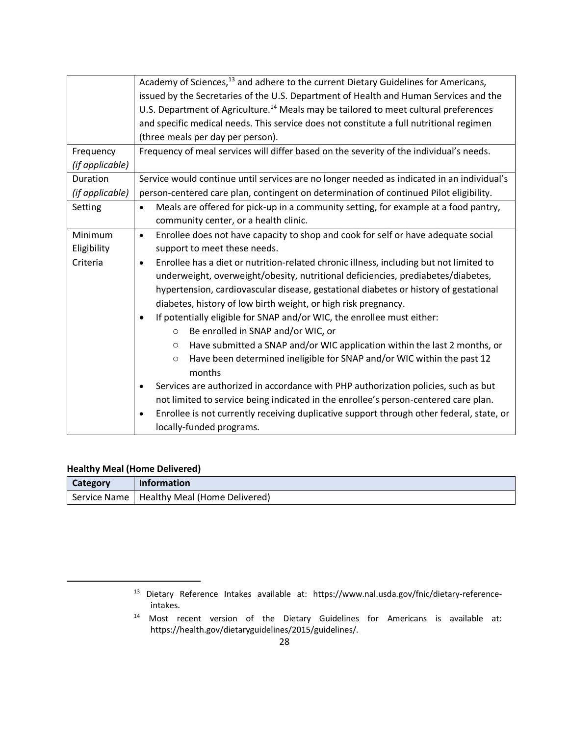|                 | Academy of Sciences, <sup>13</sup> and adhere to the current Dietary Guidelines for Americans,        |
|-----------------|-------------------------------------------------------------------------------------------------------|
|                 | issued by the Secretaries of the U.S. Department of Health and Human Services and the                 |
|                 | U.S. Department of Agriculture. <sup>14</sup> Meals may be tailored to meet cultural preferences      |
|                 | and specific medical needs. This service does not constitute a full nutritional regimen               |
|                 | (three meals per day per person).                                                                     |
| Frequency       | Frequency of meal services will differ based on the severity of the individual's needs.               |
| (if applicable) |                                                                                                       |
| Duration        | Service would continue until services are no longer needed as indicated in an individual's            |
| (if applicable) | person-centered care plan, contingent on determination of continued Pilot eligibility.                |
| Setting         | Meals are offered for pick-up in a community setting, for example at a food pantry,<br>$\bullet$      |
|                 | community center, or a health clinic.                                                                 |
| Minimum         | Enrollee does not have capacity to shop and cook for self or have adequate social<br>$\bullet$        |
| Eligibility     | support to meet these needs.                                                                          |
| Criteria        | Enrollee has a diet or nutrition-related chronic illness, including but not limited to<br>$\bullet$   |
|                 | underweight, overweight/obesity, nutritional deficiencies, prediabetes/diabetes,                      |
|                 | hypertension, cardiovascular disease, gestational diabetes or history of gestational                  |
|                 | diabetes, history of low birth weight, or high risk pregnancy.                                        |
|                 | If potentially eligible for SNAP and/or WIC, the enrollee must either:<br>$\bullet$                   |
|                 | Be enrolled in SNAP and/or WIC, or<br>$\circ$                                                         |
|                 | Have submitted a SNAP and/or WIC application within the last 2 months, or<br>$\circ$                  |
|                 | Have been determined ineligible for SNAP and/or WIC within the past 12<br>$\circ$                     |
|                 | months                                                                                                |
|                 | Services are authorized in accordance with PHP authorization policies, such as but<br>$\bullet$       |
|                 | not limited to service being indicated in the enrollee's person-centered care plan.                   |
|                 | Enrollee is not currently receiving duplicative support through other federal, state, or<br>$\bullet$ |
|                 | locally-funded programs.                                                                              |

### **Healthy Meal (Home Delivered)**

| <b>Category</b> | <b>Information</b>                           |
|-----------------|----------------------------------------------|
|                 | Service Name   Healthy Meal (Home Delivered) |

<sup>13</sup> Dietary Reference Intakes available at: https://www.nal.usda.gov/fnic/dietary-referenceintakes.

<sup>14</sup> Most recent version of the Dietary Guidelines for Americans is available at: https://health.gov/dietaryguidelines/2015/guidelines/.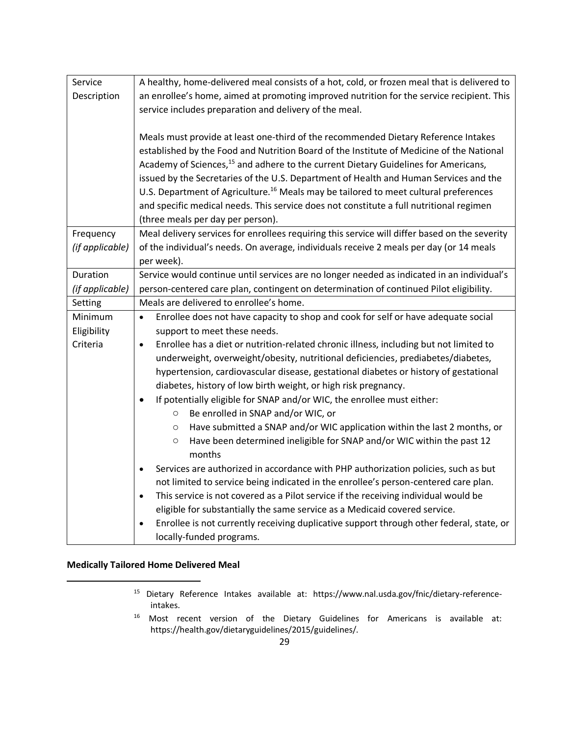| Service         | A healthy, home-delivered meal consists of a hot, cold, or frozen meal that is delivered to           |
|-----------------|-------------------------------------------------------------------------------------------------------|
| Description     | an enrollee's home, aimed at promoting improved nutrition for the service recipient. This             |
|                 | service includes preparation and delivery of the meal.                                                |
|                 |                                                                                                       |
|                 | Meals must provide at least one-third of the recommended Dietary Reference Intakes                    |
|                 | established by the Food and Nutrition Board of the Institute of Medicine of the National              |
|                 | Academy of Sciences, <sup>15</sup> and adhere to the current Dietary Guidelines for Americans,        |
|                 | issued by the Secretaries of the U.S. Department of Health and Human Services and the                 |
|                 | U.S. Department of Agriculture. <sup>16</sup> Meals may be tailored to meet cultural preferences      |
|                 | and specific medical needs. This service does not constitute a full nutritional regimen               |
|                 | (three meals per day per person).                                                                     |
| Frequency       | Meal delivery services for enrollees requiring this service will differ based on the severity         |
| (if applicable) | of the individual's needs. On average, individuals receive 2 meals per day (or 14 meals               |
|                 | per week).                                                                                            |
| Duration        | Service would continue until services are no longer needed as indicated in an individual's            |
| (if applicable) | person-centered care plan, contingent on determination of continued Pilot eligibility.                |
| Setting         | Meals are delivered to enrollee's home.                                                               |
| Minimum         | Enrollee does not have capacity to shop and cook for self or have adequate social<br>$\bullet$        |
| Eligibility     | support to meet these needs.                                                                          |
| Criteria        | Enrollee has a diet or nutrition-related chronic illness, including but not limited to<br>$\bullet$   |
|                 | underweight, overweight/obesity, nutritional deficiencies, prediabetes/diabetes,                      |
|                 | hypertension, cardiovascular disease, gestational diabetes or history of gestational                  |
|                 | diabetes, history of low birth weight, or high risk pregnancy.                                        |
|                 | If potentially eligible for SNAP and/or WIC, the enrollee must either:<br>$\bullet$                   |
|                 | Be enrolled in SNAP and/or WIC, or<br>O                                                               |
|                 | Have submitted a SNAP and/or WIC application within the last 2 months, or<br>$\circ$                  |
|                 | Have been determined ineligible for SNAP and/or WIC within the past 12<br>$\circ$                     |
|                 | months                                                                                                |
|                 | Services are authorized in accordance with PHP authorization policies, such as but                    |
|                 | not limited to service being indicated in the enrollee's person-centered care plan.                   |
|                 | This service is not covered as a Pilot service if the receiving individual would be<br>$\bullet$      |
|                 | eligible for substantially the same service as a Medicaid covered service.                            |
|                 | Enrollee is not currently receiving duplicative support through other federal, state, or<br>$\bullet$ |
|                 | locally-funded programs.                                                                              |

### **Medically Tailored Home Delivered Meal**

- <sup>15</sup> Dietary Reference Intakes available at: https://www.nal.usda.gov/fnic/dietary-referenceintakes.
- <sup>16</sup> Most recent version of the Dietary Guidelines for Americans is available at: https://health.gov/dietaryguidelines/2015/guidelines/.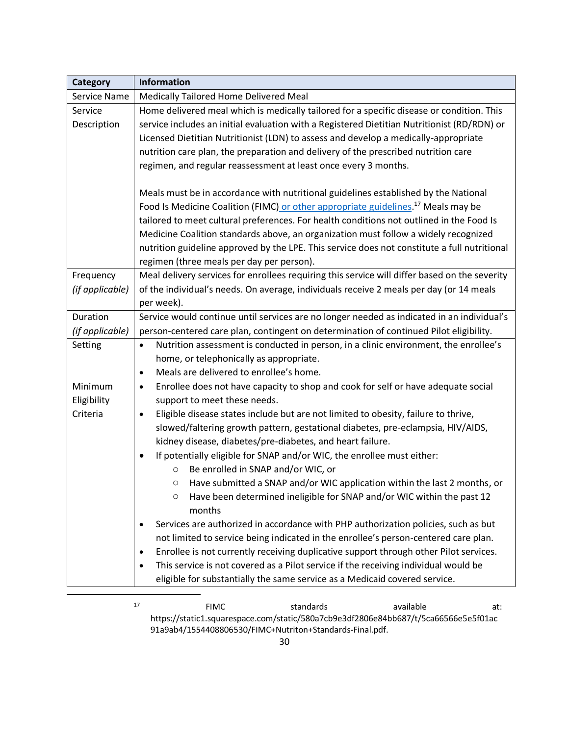| <b>Category</b> | <b>Information</b>                                                                                |
|-----------------|---------------------------------------------------------------------------------------------------|
| Service Name    | Medically Tailored Home Delivered Meal                                                            |
| Service         | Home delivered meal which is medically tailored for a specific disease or condition. This         |
| Description     | service includes an initial evaluation with a Registered Dietitian Nutritionist (RD/RDN) or       |
|                 | Licensed Dietitian Nutritionist (LDN) to assess and develop a medically-appropriate               |
|                 | nutrition care plan, the preparation and delivery of the prescribed nutrition care                |
|                 | regimen, and regular reassessment at least once every 3 months.                                   |
|                 | Meals must be in accordance with nutritional guidelines established by the National               |
|                 | Food Is Medicine Coalition (FIMC) or other appropriate guidelines. <sup>17</sup> Meals may be     |
|                 | tailored to meet cultural preferences. For health conditions not outlined in the Food Is          |
|                 | Medicine Coalition standards above, an organization must follow a widely recognized               |
|                 | nutrition guideline approved by the LPE. This service does not constitute a full nutritional      |
|                 | regimen (three meals per day per person).                                                         |
| Frequency       | Meal delivery services for enrollees requiring this service will differ based on the severity     |
| (if applicable) | of the individual's needs. On average, individuals receive 2 meals per day (or 14 meals           |
|                 | per week).                                                                                        |
| Duration        | Service would continue until services are no longer needed as indicated in an individual's        |
| (if applicable) | person-centered care plan, contingent on determination of continued Pilot eligibility.            |
| Setting         | Nutrition assessment is conducted in person, in a clinic environment, the enrollee's<br>$\bullet$ |
|                 | home, or telephonically as appropriate.                                                           |
|                 | Meals are delivered to enrollee's home.<br>$\bullet$                                              |
| Minimum         | Enrollee does not have capacity to shop and cook for self or have adequate social<br>$\bullet$    |
| Eligibility     | support to meet these needs.                                                                      |
| Criteria        | Eligible disease states include but are not limited to obesity, failure to thrive,<br>$\bullet$   |
|                 | slowed/faltering growth pattern, gestational diabetes, pre-eclampsia, HIV/AIDS,                   |
|                 | kidney disease, diabetes/pre-diabetes, and heart failure.                                         |
|                 | If potentially eligible for SNAP and/or WIC, the enrollee must either:<br>$\bullet$               |
|                 | Be enrolled in SNAP and/or WIC, or<br>O                                                           |
|                 | Have submitted a SNAP and/or WIC application within the last 2 months, or<br>$\circ$              |
|                 | Have been determined ineligible for SNAP and/or WIC within the past 12<br>$\circ$<br>months       |
|                 | Services are authorized in accordance with PHP authorization policies, such as but                |
|                 | not limited to service being indicated in the enrollee's person-centered care plan.               |
|                 | Enrollee is not currently receiving duplicative support through other Pilot services.<br>٠        |
|                 | This service is not covered as a Pilot service if the receiving individual would be<br>$\bullet$  |
|                 | eligible for substantially the same service as a Medicaid covered service.                        |
|                 |                                                                                                   |

17 **FIMC** standards available at: https://static1.squarespace.com/static/580a7cb9e3df2806e84bb687/t/5ca66566e5e5f01ac 91a9ab4/1554408806530/FIMC+Nutriton+Standards-Final.pdf.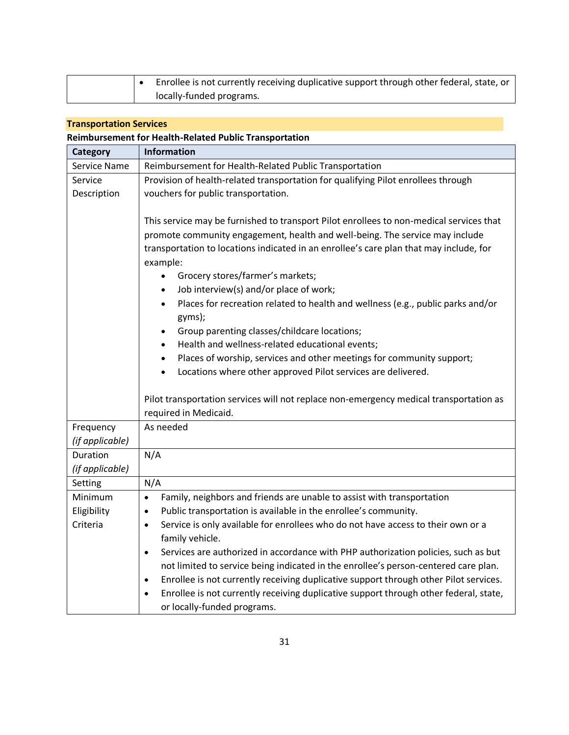|  | Enrollee is not currently receiving duplicative support through other federal, state, or |
|--|------------------------------------------------------------------------------------------|
|  | locally-funded programs.                                                                 |

### **Transportation Services**

| <b>Reimbursement for Health-Related Public Transportation</b> |  |
|---------------------------------------------------------------|--|
|---------------------------------------------------------------|--|

| Category            | <b>Information</b>                                                                                                                                                                                                                                                                                                                                                                                                                                                                                                                                                                                                                                                                                                                                                                              |
|---------------------|-------------------------------------------------------------------------------------------------------------------------------------------------------------------------------------------------------------------------------------------------------------------------------------------------------------------------------------------------------------------------------------------------------------------------------------------------------------------------------------------------------------------------------------------------------------------------------------------------------------------------------------------------------------------------------------------------------------------------------------------------------------------------------------------------|
| <b>Service Name</b> | Reimbursement for Health-Related Public Transportation                                                                                                                                                                                                                                                                                                                                                                                                                                                                                                                                                                                                                                                                                                                                          |
| Service             | Provision of health-related transportation for qualifying Pilot enrollees through                                                                                                                                                                                                                                                                                                                                                                                                                                                                                                                                                                                                                                                                                                               |
| Description         | vouchers for public transportation.                                                                                                                                                                                                                                                                                                                                                                                                                                                                                                                                                                                                                                                                                                                                                             |
|                     | This service may be furnished to transport Pilot enrollees to non-medical services that<br>promote community engagement, health and well-being. The service may include<br>transportation to locations indicated in an enrollee's care plan that may include, for<br>example:<br>Grocery stores/farmer's markets;<br>$\bullet$<br>Job interview(s) and/or place of work;<br>$\bullet$<br>Places for recreation related to health and wellness (e.g., public parks and/or<br>$\bullet$<br>gyms);<br>Group parenting classes/childcare locations;<br>$\bullet$<br>Health and wellness-related educational events;<br>$\bullet$<br>Places of worship, services and other meetings for community support;<br>$\bullet$<br>Locations where other approved Pilot services are delivered.<br>$\bullet$ |
|                     | Pilot transportation services will not replace non-emergency medical transportation as                                                                                                                                                                                                                                                                                                                                                                                                                                                                                                                                                                                                                                                                                                          |
|                     | required in Medicaid.                                                                                                                                                                                                                                                                                                                                                                                                                                                                                                                                                                                                                                                                                                                                                                           |
| Frequency           | As needed                                                                                                                                                                                                                                                                                                                                                                                                                                                                                                                                                                                                                                                                                                                                                                                       |
| (if applicable)     |                                                                                                                                                                                                                                                                                                                                                                                                                                                                                                                                                                                                                                                                                                                                                                                                 |
| Duration            | N/A                                                                                                                                                                                                                                                                                                                                                                                                                                                                                                                                                                                                                                                                                                                                                                                             |
| (if applicable)     |                                                                                                                                                                                                                                                                                                                                                                                                                                                                                                                                                                                                                                                                                                                                                                                                 |
| Setting             | N/A                                                                                                                                                                                                                                                                                                                                                                                                                                                                                                                                                                                                                                                                                                                                                                                             |
| Minimum             | Family, neighbors and friends are unable to assist with transportation<br>$\bullet$                                                                                                                                                                                                                                                                                                                                                                                                                                                                                                                                                                                                                                                                                                             |
| Eligibility         | Public transportation is available in the enrollee's community.<br>$\bullet$                                                                                                                                                                                                                                                                                                                                                                                                                                                                                                                                                                                                                                                                                                                    |
| Criteria            | Service is only available for enrollees who do not have access to their own or a<br>$\bullet$                                                                                                                                                                                                                                                                                                                                                                                                                                                                                                                                                                                                                                                                                                   |
|                     | family vehicle.                                                                                                                                                                                                                                                                                                                                                                                                                                                                                                                                                                                                                                                                                                                                                                                 |
|                     | Services are authorized in accordance with PHP authorization policies, such as but<br>$\bullet$                                                                                                                                                                                                                                                                                                                                                                                                                                                                                                                                                                                                                                                                                                 |
|                     | not limited to service being indicated in the enrollee's person-centered care plan.                                                                                                                                                                                                                                                                                                                                                                                                                                                                                                                                                                                                                                                                                                             |
|                     | Enrollee is not currently receiving duplicative support through other Pilot services.<br>$\bullet$                                                                                                                                                                                                                                                                                                                                                                                                                                                                                                                                                                                                                                                                                              |
|                     | Enrollee is not currently receiving duplicative support through other federal, state,<br>$\bullet$                                                                                                                                                                                                                                                                                                                                                                                                                                                                                                                                                                                                                                                                                              |
|                     | or locally-funded programs.                                                                                                                                                                                                                                                                                                                                                                                                                                                                                                                                                                                                                                                                                                                                                                     |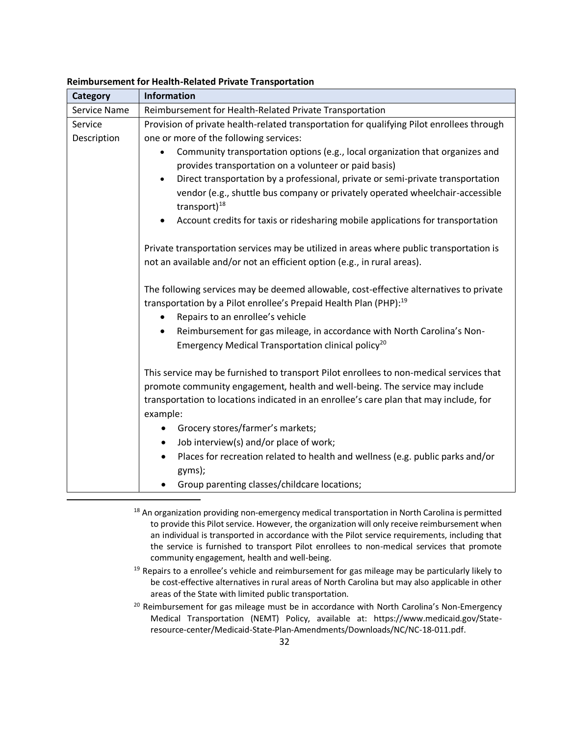| <b>Category</b> | <b>Information</b>                                                                                                                                                      |
|-----------------|-------------------------------------------------------------------------------------------------------------------------------------------------------------------------|
| Service Name    | Reimbursement for Health-Related Private Transportation                                                                                                                 |
| Service         | Provision of private health-related transportation for qualifying Pilot enrollees through                                                                               |
| Description     | one or more of the following services:                                                                                                                                  |
|                 | Community transportation options (e.g., local organization that organizes and                                                                                           |
|                 | provides transportation on a volunteer or paid basis)                                                                                                                   |
|                 | Direct transportation by a professional, private or semi-private transportation<br>$\bullet$                                                                            |
|                 | vendor (e.g., shuttle bus company or privately operated wheelchair-accessible<br>transport) $^{18}$                                                                     |
|                 | Account credits for taxis or ridesharing mobile applications for transportation<br>$\bullet$                                                                            |
|                 | Private transportation services may be utilized in areas where public transportation is                                                                                 |
|                 | not an available and/or not an efficient option (e.g., in rural areas).                                                                                                 |
|                 | The following services may be deemed allowable, cost-effective alternatives to private<br>transportation by a Pilot enrollee's Prepaid Health Plan (PHP): <sup>19</sup> |
|                 | Repairs to an enrollee's vehicle<br>$\bullet$                                                                                                                           |
|                 | Reimbursement for gas mileage, in accordance with North Carolina's Non-<br>$\bullet$                                                                                    |
|                 | Emergency Medical Transportation clinical policy <sup>20</sup>                                                                                                          |
|                 | This service may be furnished to transport Pilot enrollees to non-medical services that                                                                                 |
|                 | promote community engagement, health and well-being. The service may include                                                                                            |
|                 | transportation to locations indicated in an enrollee's care plan that may include, for<br>example:                                                                      |
|                 | Grocery stores/farmer's markets;<br>$\bullet$                                                                                                                           |
|                 | Job interview(s) and/or place of work;<br>٠                                                                                                                             |
|                 | Places for recreation related to health and wellness (e.g. public parks and/or<br>$\bullet$                                                                             |
|                 | gyms);                                                                                                                                                                  |
|                 | Group parenting classes/childcare locations;                                                                                                                            |

#### **Reimbursement for Health-Related Private Transportation**

<sup>18</sup> An organization providing non-emergency medical transportation in North Carolina is permitted to provide this Pilot service. However, the organization will only receive reimbursement when an individual is transported in accordance with the Pilot service requirements, including that the service is furnished to transport Pilot enrollees to non-medical services that promote community engagement, health and well-being.

<sup>19</sup> Repairs to a enrollee's vehicle and reimbursement for gas mileage may be particularly likely to be cost-effective alternatives in rural areas of North Carolina but may also applicable in other areas of the State with limited public transportation.

<sup>20</sup> Reimbursement for gas mileage must be in accordance with North Carolina's Non-Emergency Medical Transportation (NEMT) Policy, available at: https://www.medicaid.gov/Stateresource-center/Medicaid-State-Plan-Amendments/Downloads/NC/NC-18-011.pdf.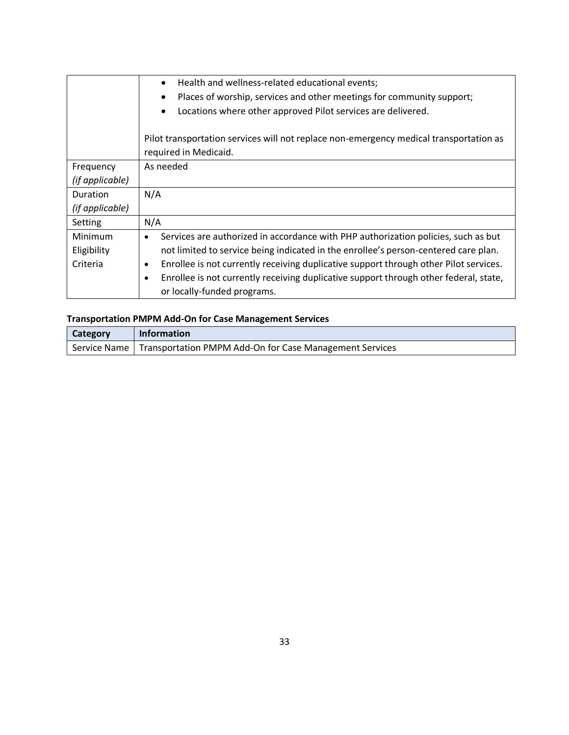|                 | Health and wellness-related educational events;<br>Places of worship, services and other meetings for community support;<br>$\bullet$<br>Locations where other approved Pilot services are delivered.<br>$\bullet$ |
|-----------------|--------------------------------------------------------------------------------------------------------------------------------------------------------------------------------------------------------------------|
|                 | Pilot transportation services will not replace non-emergency medical transportation as<br>required in Medicaid.                                                                                                    |
| Frequency       | As needed                                                                                                                                                                                                          |
| (if applicable) |                                                                                                                                                                                                                    |
| Duration        | N/A                                                                                                                                                                                                                |
| (if applicable) |                                                                                                                                                                                                                    |
| Setting         | N/A                                                                                                                                                                                                                |
| Minimum         | Services are authorized in accordance with PHP authorization policies, such as but<br>$\bullet$                                                                                                                    |
| Eligibility     | not limited to service being indicated in the enrollee's person-centered care plan.                                                                                                                                |
| Criteria        | Enrollee is not currently receiving duplicative support through other Pilot services.<br>٠                                                                                                                         |
|                 | Enrollee is not currently receiving duplicative support through other federal, state,<br>$\bullet$                                                                                                                 |
|                 | or locally-funded programs.                                                                                                                                                                                        |

# **Transportation PMPM Add-On for Case Management Services**

| <b>Category</b> | Information                                                            |
|-----------------|------------------------------------------------------------------------|
|                 | Service Name   Transportation PMPM Add-On for Case Management Services |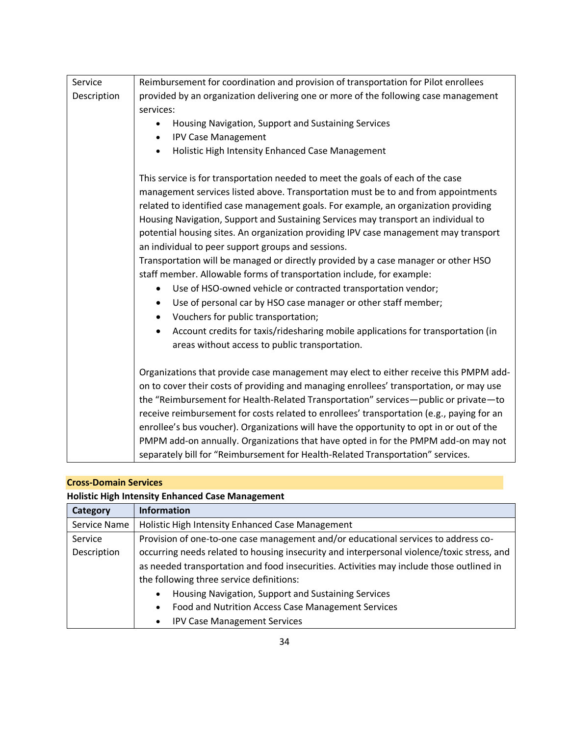| Service     | Reimbursement for coordination and provision of transportation for Pilot enrollees        |
|-------------|-------------------------------------------------------------------------------------------|
| Description | provided by an organization delivering one or more of the following case management       |
|             | services:                                                                                 |
|             | Housing Navigation, Support and Sustaining Services<br>٠                                  |
|             | <b>IPV Case Management</b><br>٠                                                           |
|             | Holistic High Intensity Enhanced Case Management                                          |
|             | This service is for transportation needed to meet the goals of each of the case           |
|             | management services listed above. Transportation must be to and from appointments         |
|             | related to identified case management goals. For example, an organization providing       |
|             | Housing Navigation, Support and Sustaining Services may transport an individual to        |
|             | potential housing sites. An organization providing IPV case management may transport      |
|             | an individual to peer support groups and sessions.                                        |
|             | Transportation will be managed or directly provided by a case manager or other HSO        |
|             | staff member. Allowable forms of transportation include, for example:                     |
|             | Use of HSO-owned vehicle or contracted transportation vendor;<br>$\bullet$                |
|             | Use of personal car by HSO case manager or other staff member;<br>$\bullet$               |
|             | Vouchers for public transportation;                                                       |
|             | Account credits for taxis/ridesharing mobile applications for transportation (in          |
|             | areas without access to public transportation.                                            |
|             |                                                                                           |
|             | Organizations that provide case management may elect to either receive this PMPM add-     |
|             | on to cover their costs of providing and managing enrollees' transportation, or may use   |
|             | the "Reimbursement for Health-Related Transportation" services-public or private-to       |
|             | receive reimbursement for costs related to enrollees' transportation (e.g., paying for an |
|             | enrollee's bus voucher). Organizations will have the opportunity to opt in or out of the  |
|             | PMPM add-on annually. Organizations that have opted in for the PMPM add-on may not        |
|             | separately bill for "Reimbursement for Health-Related Transportation" services.           |

### **Cross-Domain Services**

# **Holistic High Intensity Enhanced Case Management**

| <b>Category</b> | <b>Information</b>                                                                         |
|-----------------|--------------------------------------------------------------------------------------------|
| Service Name    | Holistic High Intensity Enhanced Case Management                                           |
| Service         | Provision of one-to-one case management and/or educational services to address co-         |
| Description     | occurring needs related to housing insecurity and interpersonal violence/toxic stress, and |
|                 | as needed transportation and food insecurities. Activities may include those outlined in   |
|                 | the following three service definitions:                                                   |
|                 | Housing Navigation, Support and Sustaining Services<br>$\bullet$                           |
|                 | Food and Nutrition Access Case Management Services<br>$\bullet$                            |
|                 | <b>IPV Case Management Services</b><br>$\bullet$                                           |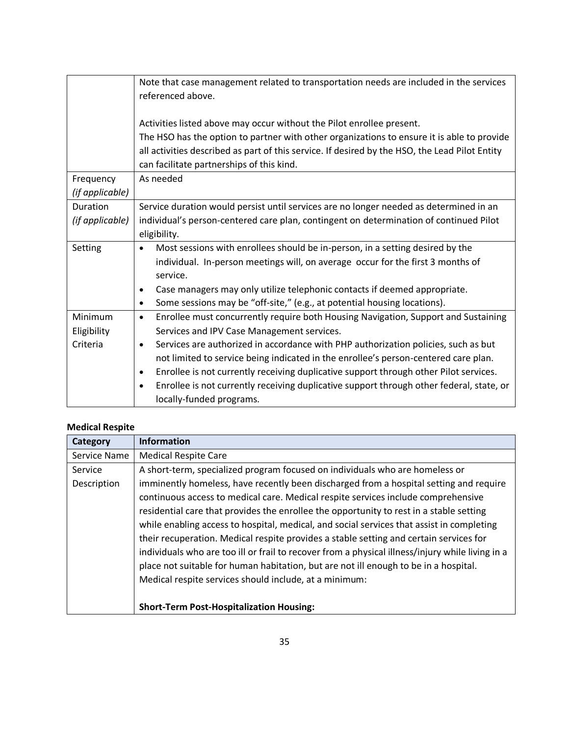|                 | Note that case management related to transportation needs are included in the services                |
|-----------------|-------------------------------------------------------------------------------------------------------|
|                 | referenced above.                                                                                     |
|                 |                                                                                                       |
|                 | Activities listed above may occur without the Pilot enrollee present.                                 |
|                 | The HSO has the option to partner with other organizations to ensure it is able to provide            |
|                 | all activities described as part of this service. If desired by the HSO, the Lead Pilot Entity        |
|                 | can facilitate partnerships of this kind.                                                             |
| Frequency       | As needed                                                                                             |
| (if applicable) |                                                                                                       |
| Duration        | Service duration would persist until services are no longer needed as determined in an                |
| (if applicable) | individual's person-centered care plan, contingent on determination of continued Pilot                |
|                 | eligibility.                                                                                          |
| Setting         | Most sessions with enrollees should be in-person, in a setting desired by the<br>$\bullet$            |
|                 | individual. In-person meetings will, on average occur for the first 3 months of                       |
|                 | service.                                                                                              |
|                 | Case managers may only utilize telephonic contacts if deemed appropriate.<br>$\bullet$                |
|                 | Some sessions may be "off-site," (e.g., at potential housing locations).<br>$\bullet$                 |
| Minimum         | Enrollee must concurrently require both Housing Navigation, Support and Sustaining<br>$\bullet$       |
| Eligibility     | Services and IPV Case Management services.                                                            |
| Criteria        | Services are authorized in accordance with PHP authorization policies, such as but<br>$\bullet$       |
|                 | not limited to service being indicated in the enrollee's person-centered care plan.                   |
|                 | Enrollee is not currently receiving duplicative support through other Pilot services.<br>$\bullet$    |
|                 | Enrollee is not currently receiving duplicative support through other federal, state, or<br>$\bullet$ |
|                 | locally-funded programs.                                                                              |

### **Medical Respite**

| Category     | <b>Information</b>                                                                               |  |
|--------------|--------------------------------------------------------------------------------------------------|--|
| Service Name | <b>Medical Respite Care</b>                                                                      |  |
| Service      | A short-term, specialized program focused on individuals who are homeless or                     |  |
| Description  | imminently homeless, have recently been discharged from a hospital setting and require           |  |
|              | continuous access to medical care. Medical respite services include comprehensive                |  |
|              | residential care that provides the enrollee the opportunity to rest in a stable setting          |  |
|              | while enabling access to hospital, medical, and social services that assist in completing        |  |
|              | their recuperation. Medical respite provides a stable setting and certain services for           |  |
|              | individuals who are too ill or frail to recover from a physical illness/injury while living in a |  |
|              | place not suitable for human habitation, but are not ill enough to be in a hospital.             |  |
|              | Medical respite services should include, at a minimum:                                           |  |
|              |                                                                                                  |  |
|              | <b>Short-Term Post-Hospitalization Housing:</b>                                                  |  |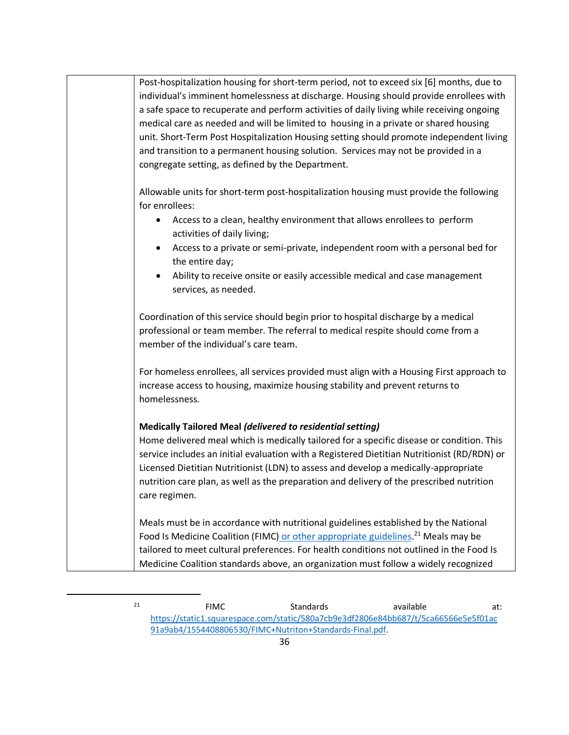| Post-hospitalization housing for short-term period, not to exceed six [6] months, due to<br>individual's imminent homelessness at discharge. Housing should provide enrollees with<br>a safe space to recuperate and perform activities of daily living while receiving ongoing<br>medical care as needed and will be limited to housing in a private or shared housing<br>unit. Short-Term Post Hospitalization Housing setting should promote independent living<br>and transition to a permanent housing solution. Services may not be provided in a<br>congregate setting, as defined by the Department. |
|--------------------------------------------------------------------------------------------------------------------------------------------------------------------------------------------------------------------------------------------------------------------------------------------------------------------------------------------------------------------------------------------------------------------------------------------------------------------------------------------------------------------------------------------------------------------------------------------------------------|
| Allowable units for short-term post-hospitalization housing must provide the following<br>for enrollees:<br>Access to a clean, healthy environment that allows enrollees to perform<br>٠<br>activities of daily living;<br>Access to a private or semi-private, independent room with a personal bed for<br>$\bullet$<br>the entire day;<br>Ability to receive onsite or easily accessible medical and case management<br>services, as needed.                                                                                                                                                               |
| Coordination of this service should begin prior to hospital discharge by a medical<br>professional or team member. The referral to medical respite should come from a<br>member of the individual's care team.                                                                                                                                                                                                                                                                                                                                                                                               |
| For homeless enrollees, all services provided must align with a Housing First approach to<br>increase access to housing, maximize housing stability and prevent returns to<br>homelessness.                                                                                                                                                                                                                                                                                                                                                                                                                  |
| <b>Medically Tailored Meal (delivered to residential setting)</b><br>Home delivered meal which is medically tailored for a specific disease or condition. This<br>service includes an initial evaluation with a Registered Dietitian Nutritionist (RD/RDN) or<br>Licensed Dietitian Nutritionist (LDN) to assess and develop a medically-appropriate<br>nutrition care plan, as well as the preparation and delivery of the prescribed nutrition<br>care regimen.                                                                                                                                            |
| Meals must be in accordance with nutritional guidelines established by the National<br>Food Is Medicine Coalition (FIMC) or other appropriate guidelines. <sup>21</sup> Meals may be<br>tailored to meet cultural preferences. For health conditions not outlined in the Food Is<br>Medicine Coalition standards above, an organization must follow a widely recognized                                                                                                                                                                                                                                      |

 $21$  **EIMC** Standards available at: [https://static1.squarespace.com/static/580a7cb9e3df2806e84bb687/t/5ca66566e5e5f01ac](https://static1.squarespace.com/static/580a7cb9e3df2806e84bb687/t/5ca66566e5e5f01ac91a9ab4/1554408806530/FIMC+Nutriton+Standards-Final.pdf) [91a9ab4/1554408806530/FIMC+Nutriton+Standards-Final.pdf.](https://static1.squarespace.com/static/580a7cb9e3df2806e84bb687/t/5ca66566e5e5f01ac91a9ab4/1554408806530/FIMC+Nutriton+Standards-Final.pdf)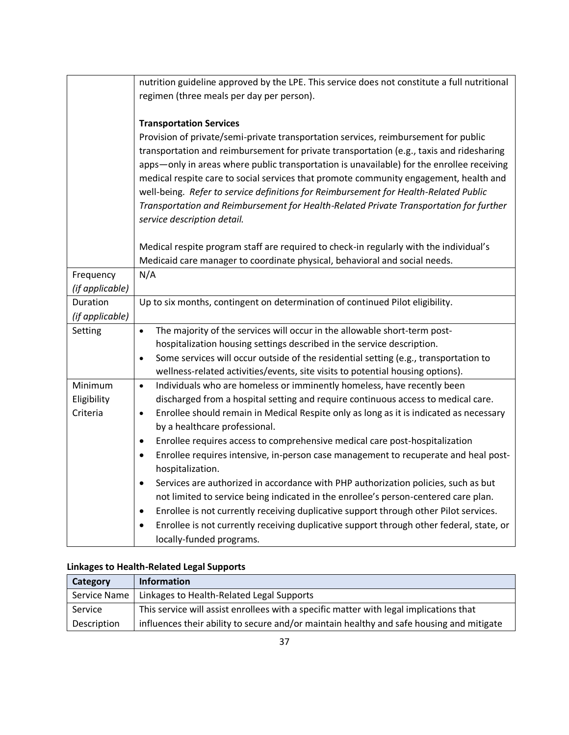|                 | nutrition guideline approved by the LPE. This service does not constitute a full nutritional                                                                         |
|-----------------|----------------------------------------------------------------------------------------------------------------------------------------------------------------------|
|                 | regimen (three meals per day per person).                                                                                                                            |
|                 |                                                                                                                                                                      |
|                 | <b>Transportation Services</b>                                                                                                                                       |
|                 | Provision of private/semi-private transportation services, reimbursement for public                                                                                  |
|                 | transportation and reimbursement for private transportation (e.g., taxis and ridesharing                                                                             |
|                 | apps—only in areas where public transportation is unavailable) for the enrollee receiving                                                                            |
|                 | medical respite care to social services that promote community engagement, health and                                                                                |
|                 | well-being. Refer to service definitions for Reimbursement for Health-Related Public                                                                                 |
|                 | Transportation and Reimbursement for Health-Related Private Transportation for further                                                                               |
|                 | service description detail.                                                                                                                                          |
|                 |                                                                                                                                                                      |
|                 | Medical respite program staff are required to check-in regularly with the individual's<br>Medicaid care manager to coordinate physical, behavioral and social needs. |
| Frequency       | N/A                                                                                                                                                                  |
| (if applicable) |                                                                                                                                                                      |
| Duration        | Up to six months, contingent on determination of continued Pilot eligibility.                                                                                        |
| (if applicable) |                                                                                                                                                                      |
| Setting         | The majority of the services will occur in the allowable short-term post-<br>$\bullet$                                                                               |
|                 | hospitalization housing settings described in the service description.                                                                                               |
|                 | Some services will occur outside of the residential setting (e.g., transportation to<br>$\bullet$                                                                    |
|                 | wellness-related activities/events, site visits to potential housing options).                                                                                       |
| Minimum         | Individuals who are homeless or imminently homeless, have recently been<br>$\bullet$                                                                                 |
| Eligibility     | discharged from a hospital setting and require continuous access to medical care.                                                                                    |
| Criteria        | Enrollee should remain in Medical Respite only as long as it is indicated as necessary<br>$\bullet$                                                                  |
|                 | by a healthcare professional.                                                                                                                                        |
|                 | Enrollee requires access to comprehensive medical care post-hospitalization<br>$\bullet$                                                                             |
|                 | Enrollee requires intensive, in-person case management to recuperate and heal post-<br>$\bullet$                                                                     |
|                 | hospitalization.                                                                                                                                                     |
|                 | Services are authorized in accordance with PHP authorization policies, such as but<br>$\bullet$                                                                      |
|                 | not limited to service being indicated in the enrollee's person-centered care plan.                                                                                  |
|                 | Enrollee is not currently receiving duplicative support through other Pilot services.<br>$\bullet$                                                                   |
|                 | Enrollee is not currently receiving duplicative support through other federal, state, or<br>$\bullet$                                                                |
|                 | locally-funded programs.                                                                                                                                             |

# **Linkages to Health-Related Legal Supports**

| Category     | Information                                                                              |
|--------------|------------------------------------------------------------------------------------------|
| Service Name | Linkages to Health-Related Legal Supports                                                |
| Service      | This service will assist enrollees with a specific matter with legal implications that   |
| Description  | influences their ability to secure and/or maintain healthy and safe housing and mitigate |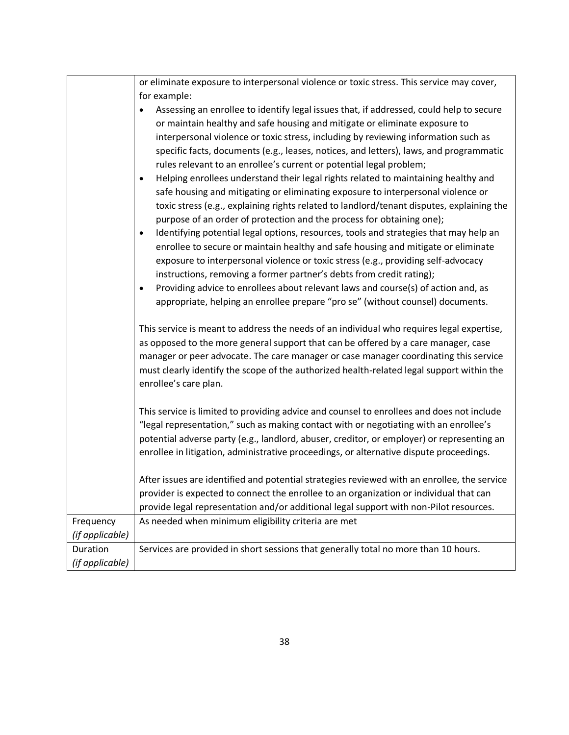|                              | or eliminate exposure to interpersonal violence or toxic stress. This service may cover,                                                                                                                                                                                                                                                                                                                                                                                                                                                     |
|------------------------------|----------------------------------------------------------------------------------------------------------------------------------------------------------------------------------------------------------------------------------------------------------------------------------------------------------------------------------------------------------------------------------------------------------------------------------------------------------------------------------------------------------------------------------------------|
|                              | for example:                                                                                                                                                                                                                                                                                                                                                                                                                                                                                                                                 |
|                              | Assessing an enrollee to identify legal issues that, if addressed, could help to secure<br>$\bullet$<br>or maintain healthy and safe housing and mitigate or eliminate exposure to<br>interpersonal violence or toxic stress, including by reviewing information such as<br>specific facts, documents (e.g., leases, notices, and letters), laws, and programmatic<br>rules relevant to an enrollee's current or potential legal problem;<br>Helping enrollees understand their legal rights related to maintaining healthy and<br>$\bullet$ |
|                              | safe housing and mitigating or eliminating exposure to interpersonal violence or<br>toxic stress (e.g., explaining rights related to landlord/tenant disputes, explaining the<br>purpose of an order of protection and the process for obtaining one);                                                                                                                                                                                                                                                                                       |
|                              | Identifying potential legal options, resources, tools and strategies that may help an<br>$\bullet$<br>enrollee to secure or maintain healthy and safe housing and mitigate or eliminate<br>exposure to interpersonal violence or toxic stress (e.g., providing self-advocacy<br>instructions, removing a former partner's debts from credit rating);                                                                                                                                                                                         |
|                              | Providing advice to enrollees about relevant laws and course(s) of action and, as<br>$\bullet$<br>appropriate, helping an enrollee prepare "pro se" (without counsel) documents.                                                                                                                                                                                                                                                                                                                                                             |
|                              | This service is meant to address the needs of an individual who requires legal expertise,<br>as opposed to the more general support that can be offered by a care manager, case<br>manager or peer advocate. The care manager or case manager coordinating this service<br>must clearly identify the scope of the authorized health-related legal support within the<br>enrollee's care plan.                                                                                                                                                |
|                              | This service is limited to providing advice and counsel to enrollees and does not include<br>"legal representation," such as making contact with or negotiating with an enrollee's<br>potential adverse party (e.g., landlord, abuser, creditor, or employer) or representing an<br>enrollee in litigation, administrative proceedings, or alternative dispute proceedings.                                                                                                                                                                  |
|                              | After issues are identified and potential strategies reviewed with an enrollee, the service<br>provider is expected to connect the enrollee to an organization or individual that can<br>provide legal representation and/or additional legal support with non-Pilot resources.                                                                                                                                                                                                                                                              |
| Frequency<br>(if applicable) | As needed when minimum eligibility criteria are met                                                                                                                                                                                                                                                                                                                                                                                                                                                                                          |
| Duration                     | Services are provided in short sessions that generally total no more than 10 hours.                                                                                                                                                                                                                                                                                                                                                                                                                                                          |
| (if applicable)              |                                                                                                                                                                                                                                                                                                                                                                                                                                                                                                                                              |